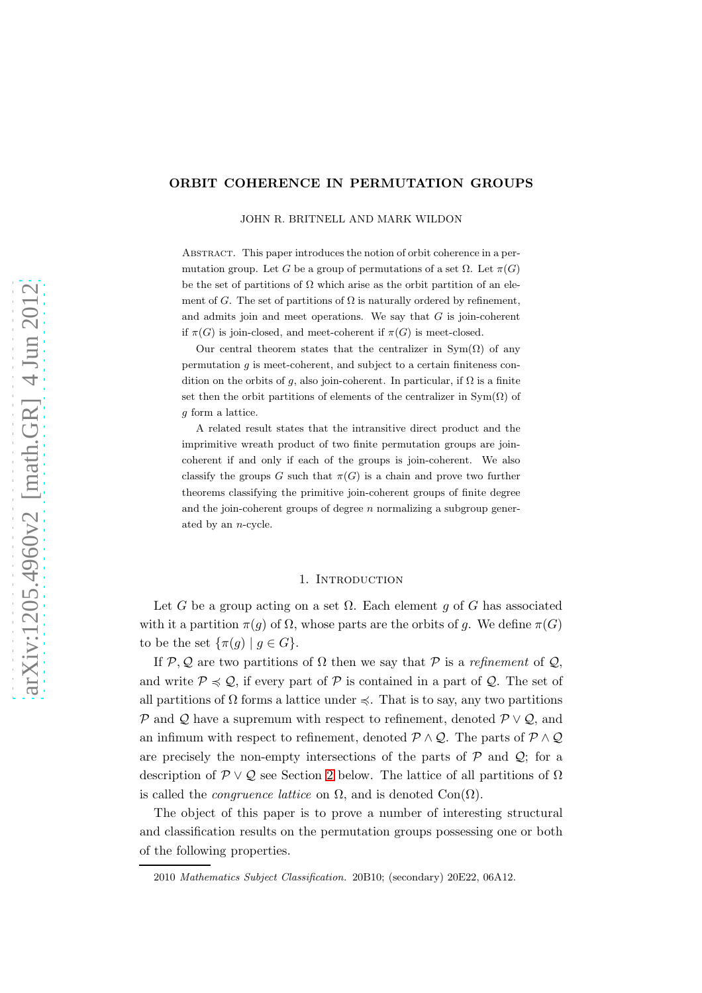## ORBIT COHERENCE IN PERMUTATION GROUPS

JOHN R. BRITNELL AND MARK WILDON

Abstract. This paper introduces the notion of orbit coherence in a permutation group. Let G be a group of permutations of a set  $\Omega$ . Let  $\pi(G)$ be the set of partitions of  $\Omega$  which arise as the orbit partition of an element of G. The set of partitions of  $\Omega$  is naturally ordered by refinement, and admits join and meet operations. We say that  $G$  is join-coherent if  $\pi(G)$  is join-closed, and meet-coherent if  $\pi(G)$  is meet-closed.

Our central theorem states that the centralizer in  $Sym(\Omega)$  of any permutation  $q$  is meet-coherent, and subject to a certain finiteness condition on the orbits of g, also join-coherent. In particular, if  $\Omega$  is a finite set then the orbit partitions of elements of the centralizer in  $\text{Sym}(\Omega)$  of g form a lattice.

A related result states that the intransitive direct product and the imprimitive wreath product of two finite permutation groups are joincoherent if and only if each of the groups is join-coherent. We also classify the groups G such that  $\pi(G)$  is a chain and prove two further theorems classifying the primitive join-coherent groups of finite degree and the join-coherent groups of degree  $n$  normalizing a subgroup generated by an n-cycle.

## 1. INTRODUCTION

Let G be a group acting on a set  $\Omega$ . Each element g of G has associated with it a partition  $\pi(g)$  of  $\Omega$ , whose parts are the orbits of g. We define  $\pi(G)$ to be the set  $\{\pi(g) \mid g \in G\}.$ 

If P, Q are two partitions of  $\Omega$  then we say that P is a *refinement* of Q, and write  $P \preccurlyeq Q$ , if every part of  $P$  is contained in a part of  $Q$ . The set of all partitions of  $\Omega$  forms a lattice under  $\leq$ . That is to say, any two partitions P and Q have a supremum with respect to refinement, denoted  $\mathcal{P} \vee \mathcal{Q}$ , and an infimum with respect to refinement, denoted  $P \wedge Q$ . The parts of  $P \wedge Q$ are precisely the non-empty intersections of the parts of  $P$  and  $Q$ ; for a description of  $\mathcal{P} \vee \mathcal{Q}$  see Section [2](#page-5-0) below. The lattice of all partitions of  $\Omega$ is called the *congruence lattice* on  $\Omega$ , and is denoted  $Con(\Omega)$ .

The object of this paper is to prove a number of interesting structural and classification results on the permutation groups possessing one or both of the following properties.

<sup>2010</sup> Mathematics Subject Classification. 20B10; (secondary) 20E22, 06A12.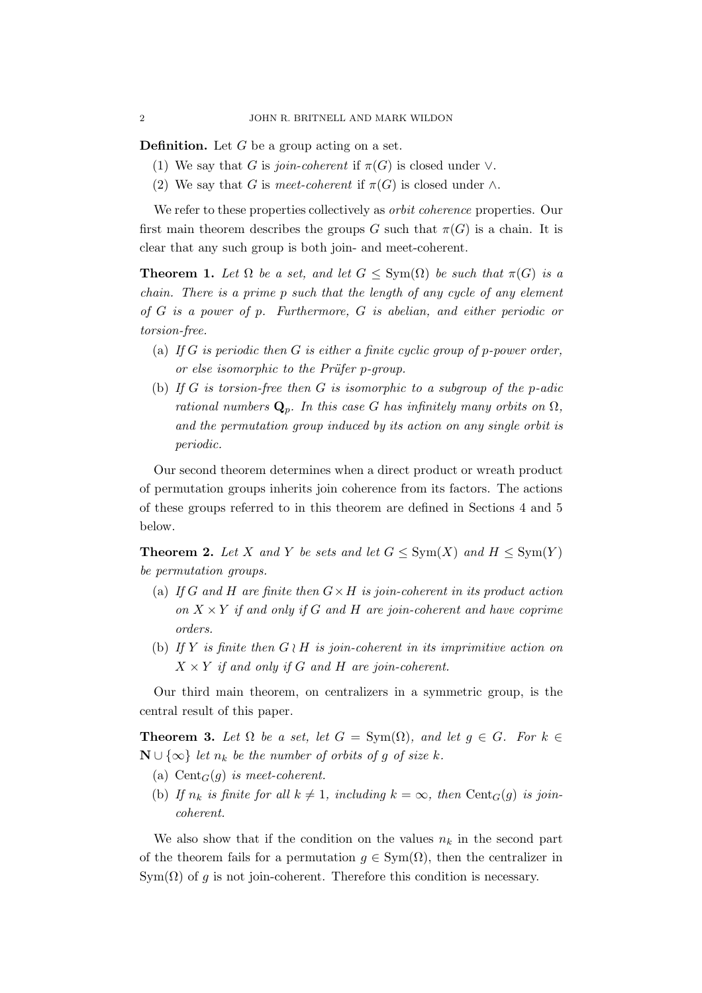**Definition.** Let  $G$  be a group acting on a set.

- (1) We say that G is *join-coherent* if  $\pi(G)$  is closed under  $\vee$ .
- (2) We say that G is *meet-coherent* if  $\pi(G)$  is closed under  $\wedge$ .

We refer to these properties collectively as *orbit coherence* properties. Our first main theorem describes the groups G such that  $\pi(G)$  is a chain. It is clear that any such group is both join- and meet-coherent.

**Theorem 1.** Let  $\Omega$  be a set, and let  $G \le \text{Sym}(\Omega)$  be such that  $\pi(G)$  is a *chain. There is a prime* p *such that the length of any cycle of any element of* G *is a power of* p*. Furthermore,* G *is abelian, and either periodic or torsion-free.*

- (a) *If* G *is periodic then* G *is either a finite cyclic group of* p*-power order, or else isomorphic to the Prüfer p-group.*
- (b) *If* G *is torsion-free then* G *is isomorphic to a subgroup of the* p*-adic rational numbers*  $\mathbf{Q}_p$ *. In this case G has infinitely many orbits on*  $\Omega$ *, and the permutation group induced by its action on any single orbit is periodic.*

Our second theorem determines when a direct product or wreath product of permutation groups inherits join coherence from its factors. The actions of these groups referred to in this theorem are defined in Sections 4 and 5 below.

<span id="page-1-0"></span>**Theorem 2.** Let X and Y be sets and let  $G \le \text{Sym}(X)$  and  $H \le \text{Sym}(Y)$ *be permutation groups.*

- (a) *If* G *and* H *are finite then* G×H *is join-coherent in its product action on*  $X \times Y$  *if and only if* G *and* H *are join-coherent and have coprime orders.*
- (b) *If* Y *is finite then* G ≀ H *is join-coherent in its imprimitive action on*  $X \times Y$  *if and only if* G *and* H *are join-coherent.*

Our third main theorem, on centralizers in a symmetric group, is the central result of this paper.

**Theorem 3.** Let  $\Omega$  be a set, let  $G = \text{Sym}(\Omega)$ , and let  $g \in G$ . For  $k \in$  $\mathbf{N} \cup \{\infty\}$  *let*  $n_k$  *be the number of orbits of g of size* k.

- (a) Cent $_G(g)$  *is meet-coherent.*
- (b) If  $n_k$  is finite for all  $k \neq 1$ , including  $k = \infty$ , then Cent<sub>G</sub>(g) is join*coherent.*

We also show that if the condition on the values  $n_k$  in the second part of the theorem fails for a permutation  $g \in \text{Sym}(\Omega)$ , then the centralizer in  $Sym(\Omega)$  of g is not join-coherent. Therefore this condition is necessary.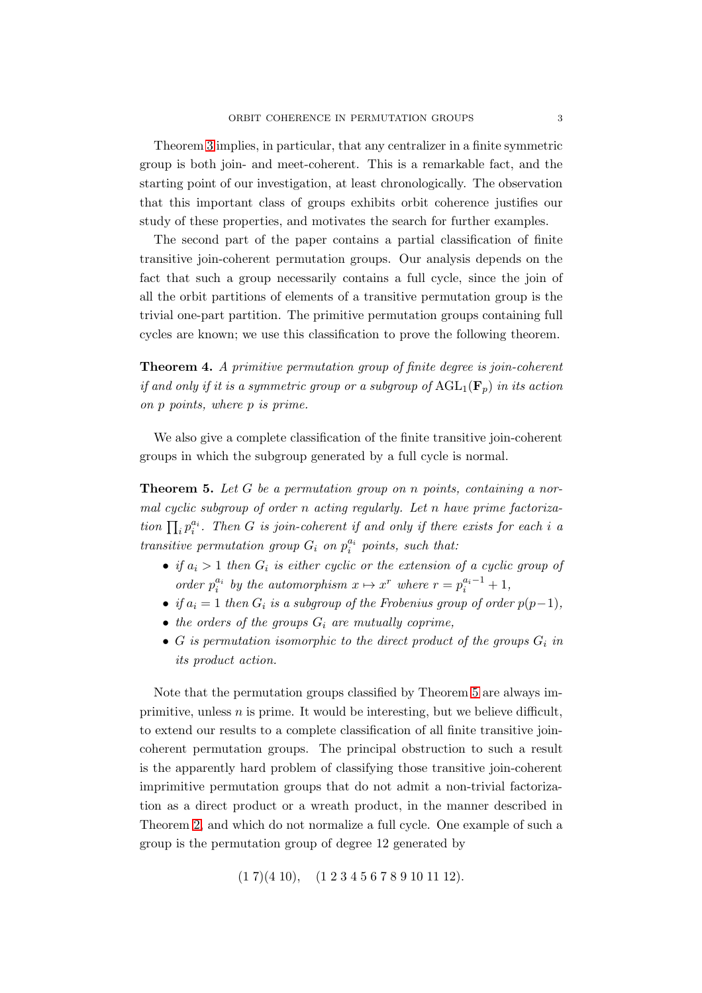Theorem [3](#page-21-0) implies, in particular, that any centralizer in a finite symmetric group is both join- and meet-coherent. This is a remarkable fact, and the starting point of our investigation, at least chronologically. The observation that this important class of groups exhibits orbit coherence justifies our study of these properties, and motivates the search for further examples.

The second part of the paper contains a partial classification of finite transitive join-coherent permutation groups. Our analysis depends on the fact that such a group necessarily contains a full cycle, since the join of all the orbit partitions of elements of a transitive permutation group is the trivial one-part partition. The primitive permutation groups containing full cycles are known; we use this classification to prove the following theorem.

<span id="page-2-0"></span>Theorem 4. *A primitive permutation group of finite degree is join-coherent if and only if it is a symmetric group or a subgroup of*  $AGL_1(\mathbf{F}_n)$  *in its action on* p *points, where* p *is prime.*

We also give a complete classification of the finite transitive join-coherent groups in which the subgroup generated by a full cycle is normal.

Theorem 5. *Let* G *be a permutation group on* n *points, containing a normal cyclic subgroup of order* n *acting regularly. Let* n *have prime factorization*  $\prod_i p_i^{a_i}$ . Then *G is join-coherent if and only if there exists for each i a transitive permutation group*  $G_i$  *on*  $p_i^{a_i}$  *points, such that:* 

- *if*  $a_i > 1$  then  $G_i$  is either cyclic or the extension of a cyclic group of *order*  $p_i^{a_i}$  *by the automorphism*  $x \mapsto x^r$  *where*  $r = p_i^{a_i-1} + 1$ *,*
- *if*  $a_i = 1$  *then*  $G_i$  *is a subgroup of the Frobenius group of order*  $p(p-1)$ *,*
- $\bullet$  *the orders of the groups*  $G_i$  *are mutually coprime,*
- $G$  *is permutation isomorphic to the direct product of the groups*  $G_i$  *in its product action.*

Note that the permutation groups classified by Theorem [5](#page-33-0) are always imprimitive, unless  $n$  is prime. It would be interesting, but we believe difficult, to extend our results to a complete classification of all finite transitive joincoherent permutation groups. The principal obstruction to such a result is the apparently hard problem of classifying those transitive join-coherent imprimitive permutation groups that do not admit a non-trivial factorization as a direct product or a wreath product, in the manner described in Theorem [2,](#page-1-0) and which do not normalize a full cycle. One example of such a group is the permutation group of degree 12 generated by

 $(1\ 7)(4\ 10), \quad (1\ 2\ 3\ 4\ 5\ 6\ 7\ 8\ 9\ 10\ 11\ 12).$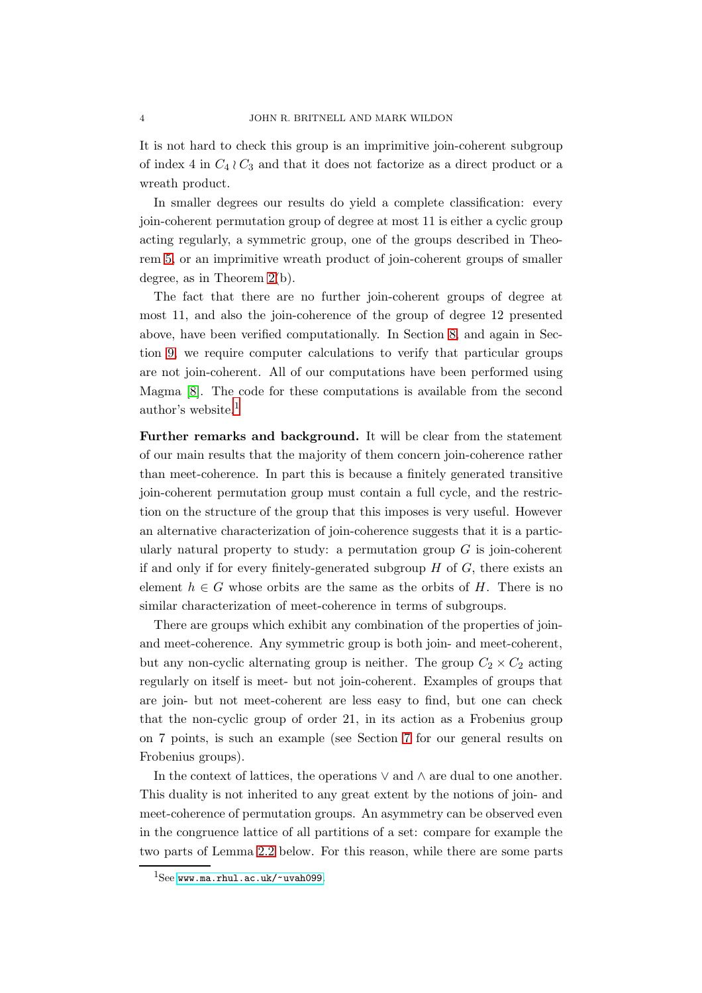It is not hard to check this group is an imprimitive join-coherent subgroup of index 4 in  $C_4 \wr C_3$  and that it does not factorize as a direct product or a wreath product.

In smaller degrees our results do yield a complete classification: every join-coherent permutation group of degree at most 11 is either a cyclic group acting regularly, a symmetric group, one of the groups described in Theorem [5,](#page-33-0) or an imprimitive wreath product of join-coherent groups of smaller degree, as in Theorem [2\(](#page-1-0)b).

The fact that there are no further join-coherent groups of degree at most 11, and also the join-coherence of the group of degree 12 presented above, have been verified computationally. In Section [8,](#page-25-0) and again in Section [9,](#page-30-0) we require computer calculations to verify that particular groups are not join-coherent. All of our computations have been performed using Magma [\[8\]](#page-34-0). The code for these computations is available from the second author's website.[1](#page-3-0)

Further remarks and background. It will be clear from the statement of our main results that the majority of them concern join-coherence rather than meet-coherence. In part this is because a finitely generated transitive join-coherent permutation group must contain a full cycle, and the restriction on the structure of the group that this imposes is very useful. However an alternative characterization of join-coherence suggests that it is a particularly natural property to study: a permutation group  $G$  is join-coherent if and only if for every finitely-generated subgroup  $H$  of  $G$ , there exists an element  $h \in G$  whose orbits are the same as the orbits of H. There is no similar characterization of meet-coherence in terms of subgroups.

There are groups which exhibit any combination of the properties of joinand meet-coherence. Any symmetric group is both join- and meet-coherent, but any non-cyclic alternating group is neither. The group  $C_2 \times C_2$  acting regularly on itself is meet- but not join-coherent. Examples of groups that are join- but not meet-coherent are less easy to find, but one can check that the non-cyclic group of order 21, in its action as a Frobenius group on 7 points, is such an example (see Section [7](#page-22-0) for our general results on Frobenius groups).

In the context of lattices, the operations  $\vee$  and  $\wedge$  are dual to one another. This duality is not inherited to any great extent by the notions of join- and meet-coherence of permutation groups. An asymmetry can be observed even in the congruence lattice of all partitions of a set: compare for example the two parts of Lemma [2.2](#page-6-0) below. For this reason, while there are some parts

<span id="page-3-0"></span> $1$ See <www.ma.rhul.ac.uk/~uvah099>.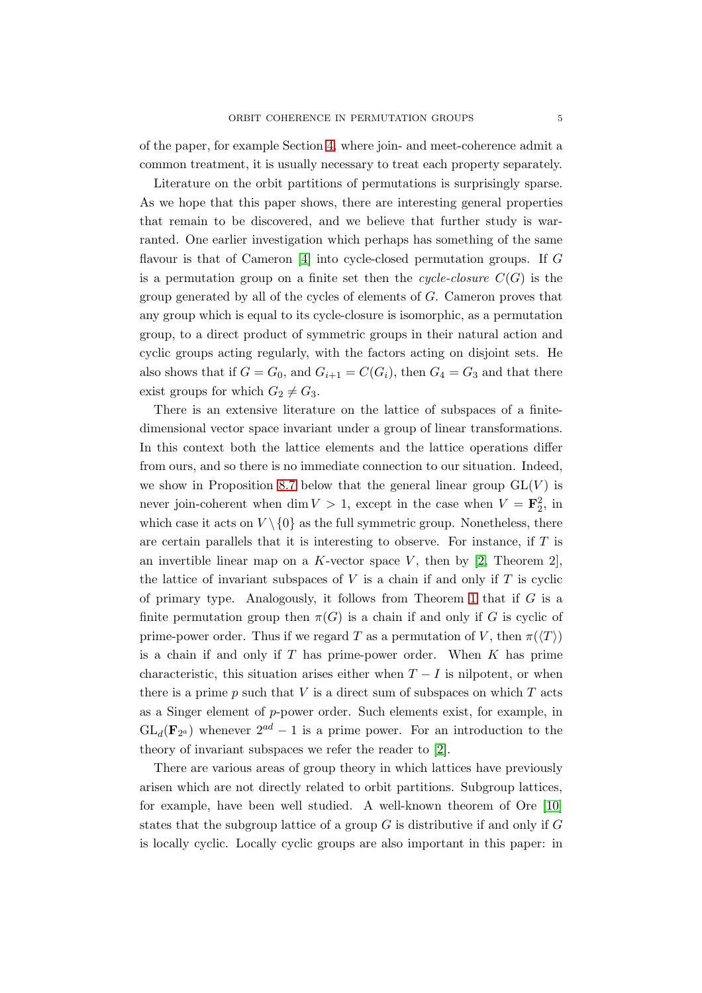of the paper, for example Section [4,](#page-13-0) where join- and meet-coherence admit a common treatment, it is usually necessary to treat each property separately.

Literature on the orbit partitions of permutations is surprisingly sparse. As we hope that this paper shows, there are interesting general properties that remain to be discovered, and we believe that further study is warranted. One earlier investigation which perhaps has something of the same flavour is that of Cameron [\[4\]](#page-34-1) into cycle-closed permutation groups. If G is a permutation group on a finite set then the *cycle-closure*  $C(G)$  is the group generated by all of the cycles of elements of G. Cameron proves that any group which is equal to its cycle-closure is isomorphic, as a permutation group, to a direct product of symmetric groups in their natural action and cyclic groups acting regularly, with the factors acting on disjoint sets. He also shows that if  $G = G_0$ , and  $G_{i+1} = C(G_i)$ , then  $G_4 = G_3$  and that there exist groups for which  $G_2 \neq G_3$ .

There is an extensive literature on the lattice of subspaces of a finitedimensional vector space invariant under a group of linear transformations. In this context both the lattice elements and the lattice operations differ from ours, and so there is no immediate connection to our situation. Indeed, we show in Proposition [8.7](#page-29-0) below that the general linear group  $GL(V)$  is never join-coherent when  $\dim V > 1$ , except in the case when  $V = \mathbf{F}_2^2$ , in which case it acts on  $V \setminus \{0\}$  as the full symmetric group. Nonetheless, there are certain parallels that it is interesting to observe. For instance, if T is an invertible linear map on a K-vector space V, then by  $[2,$  Theorem 2], the lattice of invariant subspaces of  $V$  is a chain if and only if  $T$  is cyclic of primary type. Analogously, it follows from Theorem [1](#page-12-0) that if  $G$  is a finite permutation group then  $\pi(G)$  is a chain if and only if G is cyclic of prime-power order. Thus if we regard T as a permutation of V, then  $\pi(\langle T \rangle)$ is a chain if and only if  $T$  has prime-power order. When  $K$  has prime characteristic, this situation arises either when  $T - I$  is nilpotent, or when there is a prime p such that V is a direct sum of subspaces on which  $T$  acts as a Singer element of  $p$ -power order. Such elements exist, for example, in  $GL_d(\mathbf{F}_{2^a})$  whenever  $2^{ad}-1$  is a prime power. For an introduction to the theory of invariant subspaces we refer the reader to [\[2\]](#page-34-2).

There are various areas of group theory in which lattices have previously arisen which are not directly related to orbit partitions. Subgroup lattices, for example, have been well studied. A well-known theorem of Ore [\[10\]](#page-34-3) states that the subgroup lattice of a group  $G$  is distributive if and only if  $G$ is locally cyclic. Locally cyclic groups are also important in this paper: in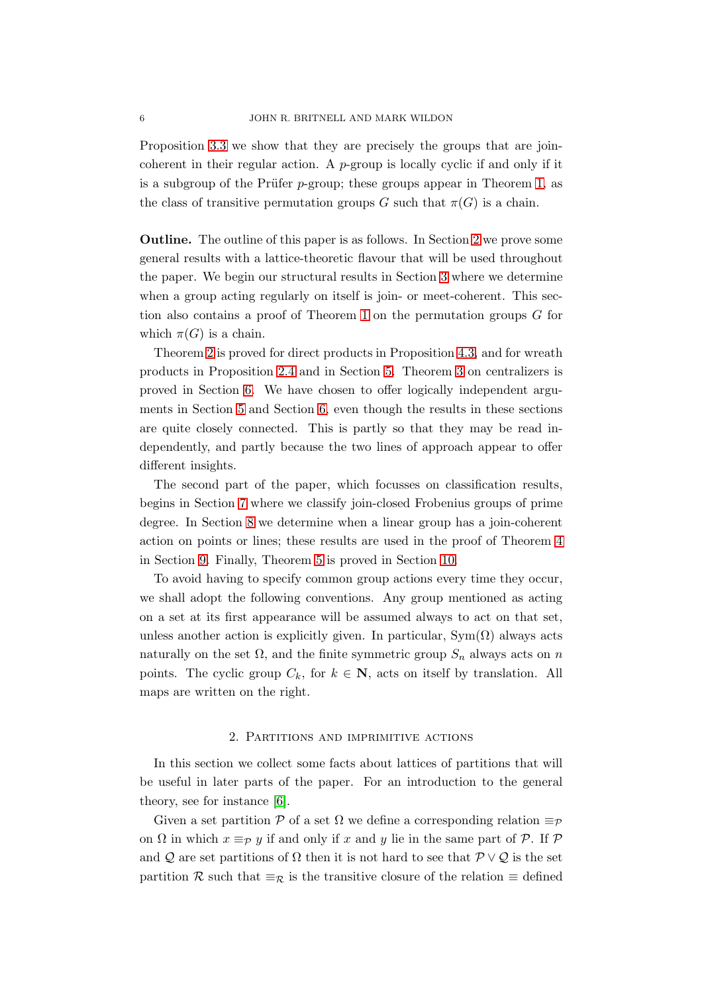Proposition [3.3](#page-8-0) we show that they are precisely the groups that are joincoherent in their regular action. A  $p$ -group is locally cyclic if and only if it is a subgroup of the Prüfer  $p$ -group; these groups appear in Theorem [1,](#page-12-0) as the class of transitive permutation groups G such that  $\pi(G)$  is a chain.

Outline. The outline of this paper is as follows. In Section [2](#page-5-0) we prove some general results with a lattice-theoretic flavour that will be used throughout the paper. We begin our structural results in Section [3](#page-8-1) where we determine when a group acting regularly on itself is join- or meet-coherent. This section also contains a proof of Theorem [1](#page-12-0) on the permutation groups G for which  $\pi(G)$  is a chain.

Theorem [2](#page-1-0) is proved for direct products in Proposition [4.3,](#page-14-0) and for wreath products in Proposition [2.4](#page-7-0) and in Section [5.](#page-16-0) Theorem [3](#page-21-0) on centralizers is proved in Section [6.](#page-19-0) We have chosen to offer logically independent arguments in Section [5](#page-16-0) and Section [6,](#page-19-0) even though the results in these sections are quite closely connected. This is partly so that they may be read independently, and partly because the two lines of approach appear to offer different insights.

The second part of the paper, which focusses on classification results, begins in Section [7](#page-22-0) where we classify join-closed Frobenius groups of prime degree. In Section [8](#page-25-0) we determine when a linear group has a join-coherent action on points or lines; these results are used in the proof of Theorem [4](#page-2-0) in Section [9.](#page-30-0) Finally, Theorem [5](#page-33-0) is proved in Section [10.](#page-31-0)

To avoid having to specify common group actions every time they occur, we shall adopt the following conventions. Any group mentioned as acting on a set at its first appearance will be assumed always to act on that set, unless another action is explicitly given. In particular,  $Sym(\Omega)$  always acts naturally on the set  $\Omega$ , and the finite symmetric group  $S_n$  always acts on n points. The cyclic group  $C_k$ , for  $k \in \mathbb{N}$ , acts on itself by translation. All maps are written on the right.

### 2. Partitions and imprimitive actions

<span id="page-5-0"></span>In this section we collect some facts about lattices of partitions that will be useful in later parts of the paper. For an introduction to the general theory, see for instance [\[6\]](#page-34-4).

Given a set partition P of a set  $\Omega$  we define a corresponding relation  $\equiv_{\mathcal{P}}$ on  $\Omega$  in which  $x \equiv_{\mathcal{P}} y$  if and only if x and y lie in the same part of  $\mathcal{P}$ . If  $\mathcal{P}$ and Q are set partitions of  $\Omega$  then it is not hard to see that  $\mathcal{P} \vee \mathcal{Q}$  is the set partition R such that  $\equiv_{\mathcal{R}}$  is the transitive closure of the relation  $\equiv$  defined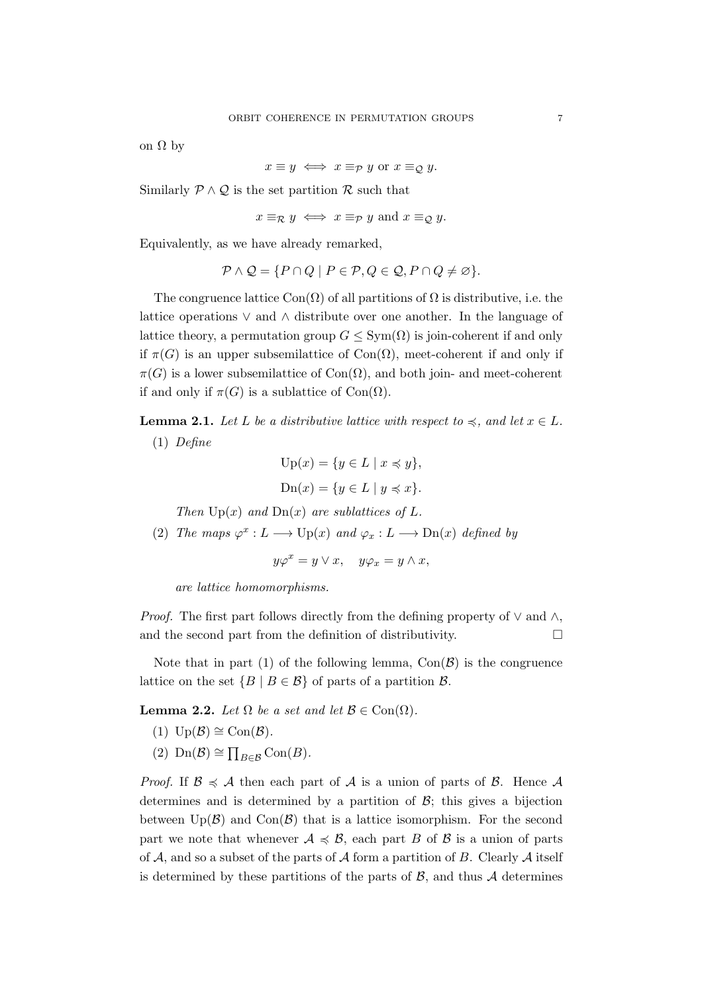on Ω by

 $x \equiv y \iff x \equiv_P y$  or  $x \equiv_Q y$ .

Similarly  $\mathcal{P} \wedge \mathcal{Q}$  is the set partition  $\mathcal{R}$  such that

$$
x \equiv_{\mathcal{R}} y \iff x \equiv_{\mathcal{P}} y
$$
 and  $x \equiv_{\mathcal{Q}} y$ .

Equivalently, as we have already remarked,

$$
\mathcal{P} \wedge \mathcal{Q} = \{ P \cap Q \mid P \in \mathcal{P}, Q \in \mathcal{Q}, P \cap Q \neq \varnothing \}.
$$

The congruence lattice  $Con(\Omega)$  of all partitions of  $\Omega$  is distributive, i.e. the lattice operations ∨ and ∧ distribute over one another. In the language of lattice theory, a permutation group  $G \le Sym(\Omega)$  is join-coherent if and only if  $\pi(G)$  is an upper subsemilattice of Con( $\Omega$ ), meet-coherent if and only if  $\pi(G)$  is a lower subsemilattice of Con( $\Omega$ ), and both join- and meet-coherent if and only if  $\pi(G)$  is a sublattice of Con( $\Omega$ ).

<span id="page-6-1"></span>**Lemma 2.1.** *Let L be a distributive lattice with respect to*  $\preccurlyeq$ *, and let*  $x \in L$ *.* (1) *Define*

$$
Up(x) = \{y \in L \mid x \preccurlyeq y\},\
$$

$$
Dn(x) = \{y \in L \mid y \preccurlyeq x\}.
$$

*Then*  $Up(x)$  *and*  $Dn(x)$  *are sublattices of* L.

(2) *The maps*  $\varphi^x : L \longrightarrow \text{Up}(x)$  *and*  $\varphi_x : L \longrightarrow \text{Dn}(x)$  *defined by* 

$$
y\varphi^x = y \vee x, \quad y\varphi_x = y \wedge x,
$$

*are lattice homomorphisms.*

*Proof.* The first part follows directly from the defining property of  $\vee$  and  $\wedge$ , and the second part from the definition of distributivity.

Note that in part (1) of the following lemma,  $Con(\mathcal{B})$  is the congruence lattice on the set  ${B \mid B \in \mathcal{B}}$  of parts of a partition  $\mathcal{B}$ .

<span id="page-6-0"></span>**Lemma 2.2.** *Let*  $\Omega$  *be a set and let*  $\mathcal{B} \in \text{Con}(\Omega)$ *.* 

- $(I) \text{Up}(\mathcal{B}) \cong \text{Con}(\mathcal{B})$ .
- (2) Dn( $\mathcal{B}$ ) ≅  $\prod_{B \in \mathcal{B}} \text{Con}(B)$ .

*Proof.* If  $\mathcal{B} \preccurlyeq \mathcal{A}$  then each part of  $\mathcal{A}$  is a union of parts of  $\mathcal{B}$ . Hence  $\mathcal{A}$ determines and is determined by a partition of  $\mathcal{B}$ ; this gives a bijection between  $\text{Up}(\mathcal{B})$  and  $\text{Con}(\mathcal{B})$  that is a lattice isomorphism. For the second part we note that whenever  $A \preccurlyeq B$ , each part B of B is a union of parts of A, and so a subset of the parts of A form a partition of B. Clearly A itself is determined by these partitions of the parts of  $\mathcal{B}$ , and thus  $\mathcal{A}$  determines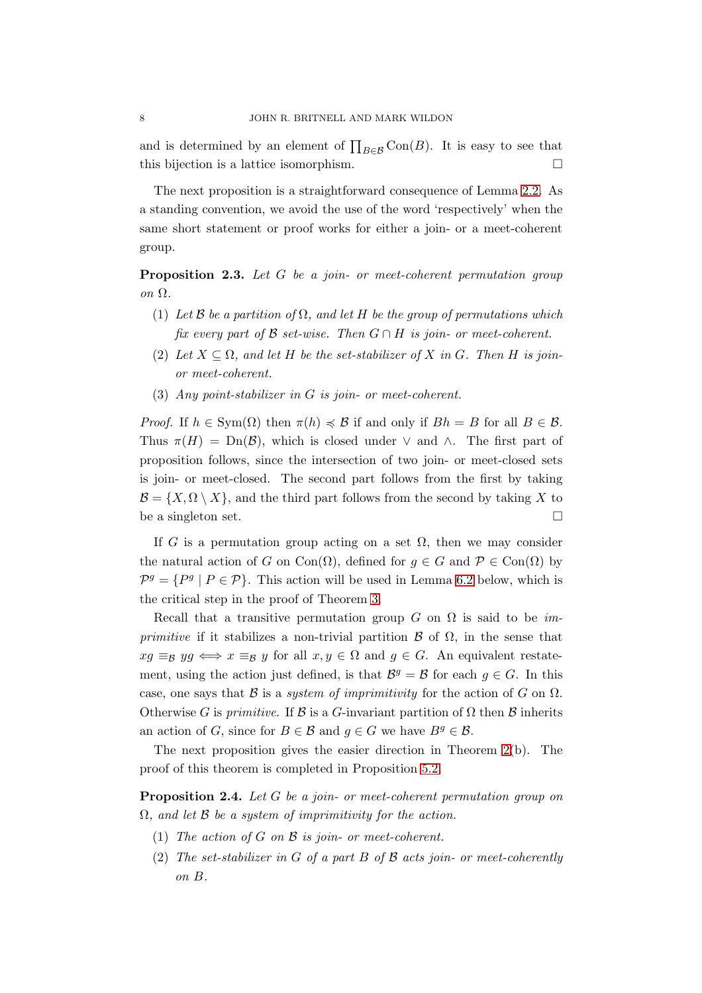and is determined by an element of  $\prod_{B \in \mathcal{B}} \text{Con}(B)$ . It is easy to see that this bijection is a lattice isomorphism.

The next proposition is a straightforward consequence of Lemma [2.2.](#page-6-0) As a standing convention, we avoid the use of the word 'respectively' when the same short statement or proof works for either a join- or a meet-coherent group.

<span id="page-7-1"></span>Proposition 2.3. *Let* G *be a join- or meet-coherent permutation group on* Ω*.*

- (1) *Let* B *be a partition of* Ω*, and let* H *be the group of permutations which fix every part of*  $\beta$  *set-wise. Then*  $G \cap H$  *is join- or meet-coherent.*
- (2) Let  $X \subseteq \Omega$ , and let H be the set-stabilizer of X in G. Then H is join*or meet-coherent.*
- (3) *Any point-stabilizer in* G *is join- or meet-coherent.*

*Proof.* If  $h \in \text{Sym}(\Omega)$  then  $\pi(h) \preccurlyeq \mathcal{B}$  if and only if  $Bh = B$  for all  $B \in \mathcal{B}$ . Thus  $\pi(H) = \text{Dn}(\mathcal{B})$ , which is closed under  $\vee$  and  $\wedge$ . The first part of proposition follows, since the intersection of two join- or meet-closed sets is join- or meet-closed. The second part follows from the first by taking  $\mathcal{B} = \{X, \Omega \setminus X\}$ , and the third part follows from the second by taking X to be a singleton set.  $\Box$ 

If G is a permutation group acting on a set  $\Omega$ , then we may consider the natural action of G on Con( $\Omega$ ), defined for  $q \in G$  and  $\mathcal{P} \in \text{Con}(\Omega)$  by  $\mathcal{P}^g = \{P^g \mid P \in \mathcal{P}\}\.$  This action will be used in Lemma [6.2](#page-20-0) below, which is the critical step in the proof of Theorem [3.](#page-21-0)

Recall that a transitive permutation group  $G$  on  $\Omega$  is said to be *imprimitive* if it stabilizes a non-trivial partition  $\beta$  of  $\Omega$ , in the sense that  $xg \equiv_B yg \iff x \equiv_B y$  for all  $x, y \in \Omega$  and  $g \in G$ . An equivalent restatement, using the action just defined, is that  $\mathcal{B}^g = \mathcal{B}$  for each  $g \in G$ . In this case, one says that B is a *system of imprimitivity* for the action of G on  $\Omega$ . Otherwise G is *primitive*. If  $\mathcal B$  is a G-invariant partition of  $\Omega$  then  $\mathcal B$  inherits an action of G, since for  $B \in \mathcal{B}$  and  $g \in G$  we have  $B^g \in \mathcal{B}$ .

The next proposition gives the easier direction in Theorem [2\(](#page-1-0)b). The proof of this theorem is completed in Proposition [5.2.](#page-18-0)

<span id="page-7-0"></span>Proposition 2.4. *Let* G *be a join- or meet-coherent permutation group on* Ω*, and let* B *be a system of imprimitivity for the action.*

- (1) *The action of* G *on* B *is join- or meet-coherent.*
- (2) *The set-stabilizer in* G *of a part* B *of* B *acts join- or meet-coherently on* B*.*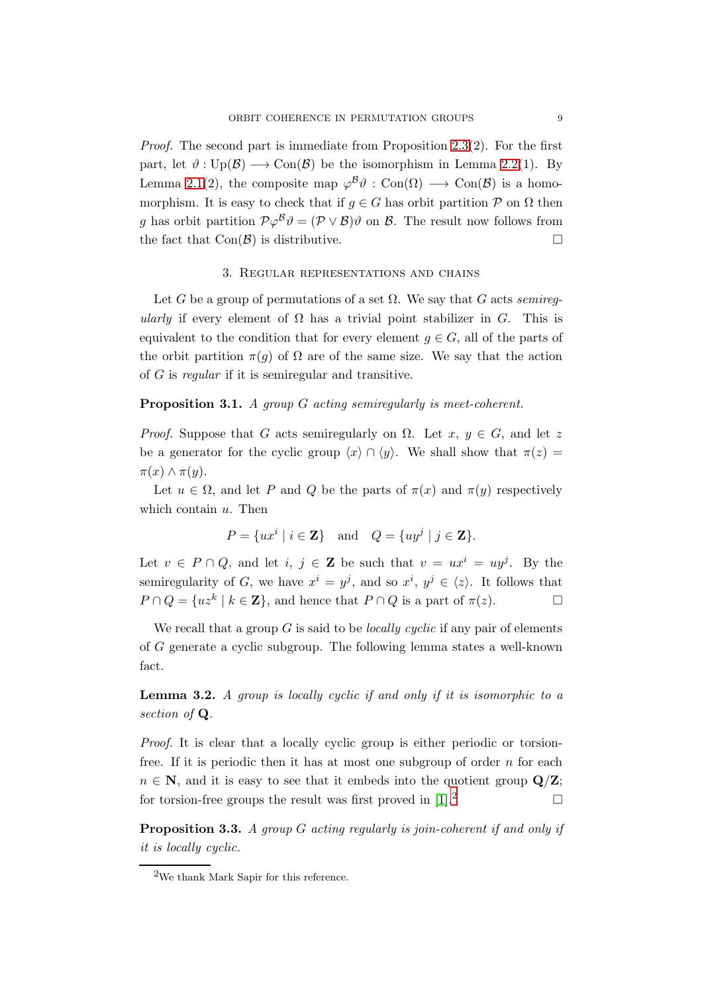*Proof.* The second part is immediate from Proposition [2.3\(](#page-7-1)2). For the first part, let  $\vartheta : \text{Up}(\mathcal{B}) \longrightarrow \text{Con}(\mathcal{B})$  be the isomorphism in Lemma [2.2\(](#page-6-0)1). By Lemma [2.1\(](#page-6-1)2), the composite map  $\varphi^B \vartheta$  : Con( $\Omega$ )  $\longrightarrow$  Con( $\vartheta$ ) is a homomorphism. It is easy to check that if  $q \in G$  has orbit partition  $P$  on  $\Omega$  then g has orbit partition  $\mathcal{P}\varphi^{\mathcal{B}}\vartheta=(\mathcal{P}\vee\mathcal{B})\vartheta$  on  $\mathcal{B}$ . The result now follows from the fact that  $Con(\mathcal{B})$  is distributive.

#### 3. Regular representations and chains

<span id="page-8-1"></span>Let G be a group of permutations of a set  $\Omega$ . We say that G acts *semiregularly* if every element of  $\Omega$  has a trivial point stabilizer in  $G$ . This is equivalent to the condition that for every element  $g \in G$ , all of the parts of the orbit partition  $\pi(q)$  of  $\Omega$  are of the same size. We say that the action of G is *regular* if it is semiregular and transitive.

### <span id="page-8-4"></span>Proposition 3.1. *A group* G *acting semiregularly is meet-coherent.*

*Proof.* Suppose that G acts semiregularly on  $\Omega$ . Let  $x, y \in G$ , and let z be a generator for the cyclic group  $\langle x \rangle \cap \langle y \rangle$ . We shall show that  $\pi(z) =$  $\pi(x) \wedge \pi(y)$ .

Let  $u \in \Omega$ , and let P and Q be the parts of  $\pi(x)$  and  $\pi(y)$  respectively which contain  $u$ . Then

$$
P = \{ux^i \mid i \in \mathbf{Z}\} \quad \text{and} \quad Q = \{uy^j \mid j \in \mathbf{Z}\}.
$$

Let  $v \in P \cap Q$ , and let  $i, j \in \mathbb{Z}$  be such that  $v = ux^{i} = uy^{j}$ . By the semiregularity of G, we have  $x^i = y^j$ , and so  $x^i, y^j \in \langle z \rangle$ . It follows that  $P \cap Q = \{uz^k \mid k \in \mathbb{Z}\},\$ and hence that  $P \cap Q$  is a part of  $\pi(z)$ .

We recall that a group G is said to be *locally cyclic* if any pair of elements of G generate a cyclic subgroup. The following lemma states a well-known fact.

<span id="page-8-3"></span>Lemma 3.2. *A group is locally cyclic if and only if it is isomorphic to a section of* Q*.*

*Proof.* It is clear that a locally cyclic group is either periodic or torsionfree. If it is periodic then it has at most one subgroup of order  $n$  for each  $n \in \mathbb{N}$ , and it is easy to see that it embeds into the quotient group  $\mathbf{Q}/\mathbf{Z}$ ; for torsion-free groups the result was first proved in  $[1].^2$  $[1].^2$ 

<span id="page-8-0"></span>Proposition 3.3. *A group* G *acting regularly is join-coherent if and only if it is locally cyclic.*

<span id="page-8-2"></span><sup>2</sup>We thank Mark Sapir for this reference.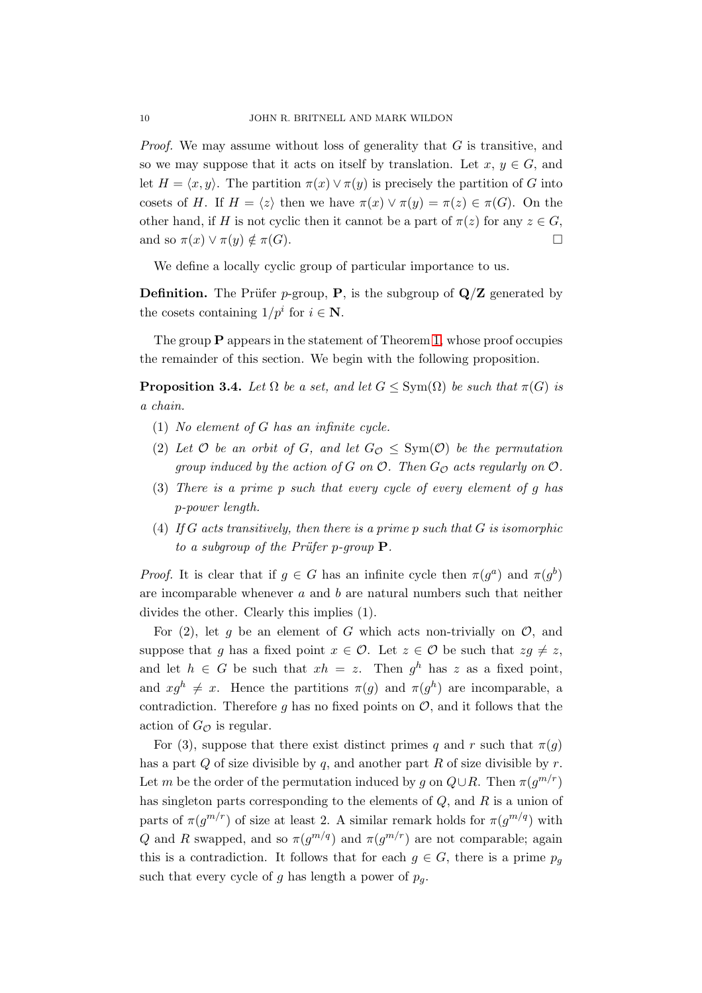*Proof.* We may assume without loss of generality that G is transitive, and so we may suppose that it acts on itself by translation. Let  $x, y \in G$ , and let  $H = \langle x, y \rangle$ . The partition  $\pi(x) \vee \pi(y)$  is precisely the partition of G into cosets of H. If  $H = \langle z \rangle$  then we have  $\pi(x) \vee \pi(y) = \pi(z) \in \pi(G)$ . On the other hand, if H is not cyclic then it cannot be a part of  $\pi(z)$  for any  $z \in G$ , and so  $\pi(x) \vee \pi(y) \notin \pi(G)$ .

We define a locally cyclic group of particular importance to us.

**Definition.** The Prüfer p-group, **P**, is the subgroup of  $Q/Z$  generated by the cosets containing  $1/p^i$  for  $i \in \mathbb{N}$ .

The group  $P$  appears in the statement of Theorem [1,](#page-12-0) whose proof occupies the remainder of this section. We begin with the following proposition.

<span id="page-9-0"></span>**Proposition 3.4.** Let  $\Omega$  be a set, and let  $G \le \text{Sym}(\Omega)$  be such that  $\pi(G)$  is *a chain.*

- (1) *No element of* G *has an infinite cycle.*
- (2) Let  $\mathcal O$  *be an orbit of*  $G$ *, and let*  $G_{\mathcal O} \leq \text{Sym}(\mathcal O)$  *be the permutation group induced by the action of*  $G$  *on*  $O$ *. Then*  $G_O$  *acts regularly on*  $O$ *.*
- (3) *There is a prime* p *such that every cycle of every element of* g *has* p*-power length.*
- (4) *If* G *acts transitively, then there is a prime* p *such that* G *is isomorphic to a subgroup of the Prüfer p-group*  $P$ *.*

*Proof.* It is clear that if  $g \in G$  has an infinite cycle then  $\pi(g^a)$  and  $\pi(g^b)$ are incomparable whenever  $a$  and  $b$  are natural numbers such that neither divides the other. Clearly this implies (1).

For  $(2)$ , let g be an element of G which acts non-trivially on  $\mathcal{O}$ , and suppose that g has a fixed point  $x \in \mathcal{O}$ . Let  $z \in \mathcal{O}$  be such that  $zg \neq z$ , and let  $h \in G$  be such that  $xh = z$ . Then  $g^h$  has z as a fixed point, and  $x g^h \neq x$ . Hence the partitions  $\pi(g)$  and  $\pi(g^h)$  are incomparable, a contradiction. Therefore g has no fixed points on  $\mathcal{O}$ , and it follows that the action of  $G_{\mathcal{O}}$  is regular.

For (3), suppose that there exist distinct primes q and r such that  $\pi(q)$ has a part  $Q$  of size divisible by  $q$ , and another part  $R$  of size divisible by  $r$ . Let m be the order of the permutation induced by g on  $Q \cup R$ . Then  $\pi(g^{m/r})$ has singleton parts corresponding to the elements of  $Q$ , and  $R$  is a union of parts of  $\pi(g^{m/r})$  of size at least 2. A similar remark holds for  $\pi(g^{m/q})$  with Q and R swapped, and so  $\pi(g^{m/q})$  and  $\pi(g^{m/r})$  are not comparable; again this is a contradiction. It follows that for each  $g \in G$ , there is a prime  $p_g$ such that every cycle of g has length a power of  $p_q$ .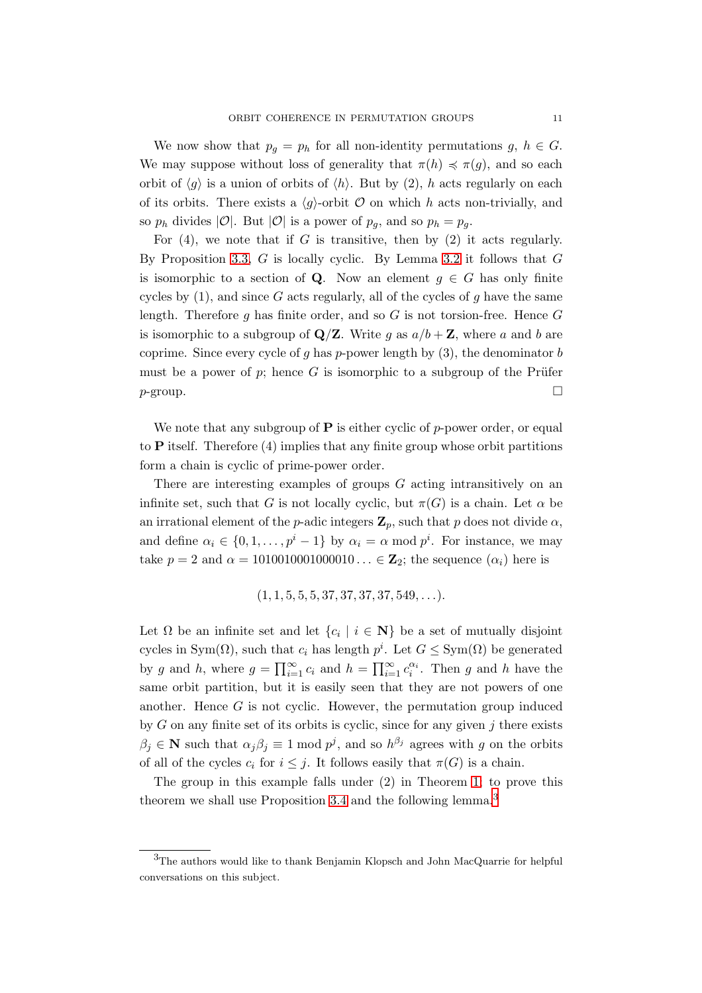We now show that  $p_g = p_h$  for all non-identity permutations  $g, h \in G$ . We may suppose without loss of generality that  $\pi(h) \preccurlyeq \pi(g)$ , and so each orbit of  $\langle q \rangle$  is a union of orbits of  $\langle h \rangle$ . But by (2), h acts regularly on each of its orbits. There exists a  $\langle g \rangle$ -orbit  $\mathcal O$  on which h acts non-trivially, and so  $p_h$  divides  $|O|$ . But  $|O|$  is a power of  $p_g$ , and so  $p_h = p_g$ .

For  $(4)$ , we note that if G is transitive, then by  $(2)$  it acts regularly. By Proposition [3.3,](#page-8-0) G is locally cyclic. By Lemma [3.2](#page-8-3) it follows that G is isomorphic to a section of **Q**. Now an element  $g \in G$  has only finite cycles by  $(1)$ , and since G acts regularly, all of the cycles of g have the same length. Therefore g has finite order, and so  $G$  is not torsion-free. Hence  $G$ is isomorphic to a subgroup of  $\mathbf{Q}/\mathbf{Z}$ . Write g as  $a/b + \mathbf{Z}$ , where a and b are coprime. Since every cycle of q has p-power length by  $(3)$ , the denominator b must be a power of p; hence G is isomorphic to a subgroup of the Prüfer  $p$ -group.  $\Box$ 

We note that any subgroup of  $P$  is either cyclic of p-power order, or equal to  $P$  itself. Therefore (4) implies that any finite group whose orbit partitions form a chain is cyclic of prime-power order.

There are interesting examples of groups G acting intransitively on an infinite set, such that G is not locally cyclic, but  $\pi(G)$  is a chain. Let  $\alpha$  be an irrational element of the *p*-adic integers  $\mathbf{Z}_p$ , such that p does not divide  $\alpha$ , and define  $\alpha_i \in \{0, 1, \ldots, p^i - 1\}$  by  $\alpha_i = \alpha \mod p^i$ . For instance, we may take  $p = 2$  and  $\alpha = 1010010001000010... \in \mathbb{Z}_2$ ; the sequence  $(\alpha_i)$  here is

$$
(1, 1, 5, 5, 5, 37, 37, 37, 37, 549, \ldots).
$$

Let  $\Omega$  be an infinite set and let  $\{c_i \mid i \in \mathbb{N}\}\$  be a set of mutually disjoint cycles in Sym( $\Omega$ ), such that  $c_i$  has length  $p^i$ . Let  $G \leq \text{Sym}(\Omega)$  be generated by g and h, where  $g = \prod_{i=1}^{\infty} c_i$  and  $h = \prod_{i=1}^{\infty} c_i^{\alpha_i}$ . Then g and h have the same orbit partition, but it is easily seen that they are not powers of one another. Hence  $G$  is not cyclic. However, the permutation group induced by  $G$  on any finite set of its orbits is cyclic, since for any given  $j$  there exists  $\beta_j \in \mathbb{N}$  such that  $\alpha_j \beta_j \equiv 1 \mod p^j$ , and so  $h^{\beta_j}$  agrees with g on the orbits of all of the cycles  $c_i$  for  $i \leq j$ . It follows easily that  $\pi(G)$  is a chain.

The group in this example falls under (2) in Theorem [1;](#page-12-0) to prove this theorem we shall use Proposition [3.4](#page-9-0) and the following lemma.<sup>[3](#page-10-0)</sup>

<span id="page-10-0"></span><sup>&</sup>lt;sup>3</sup>The authors would like to thank Benjamin Klopsch and John MacQuarrie for helpful conversations on this subject.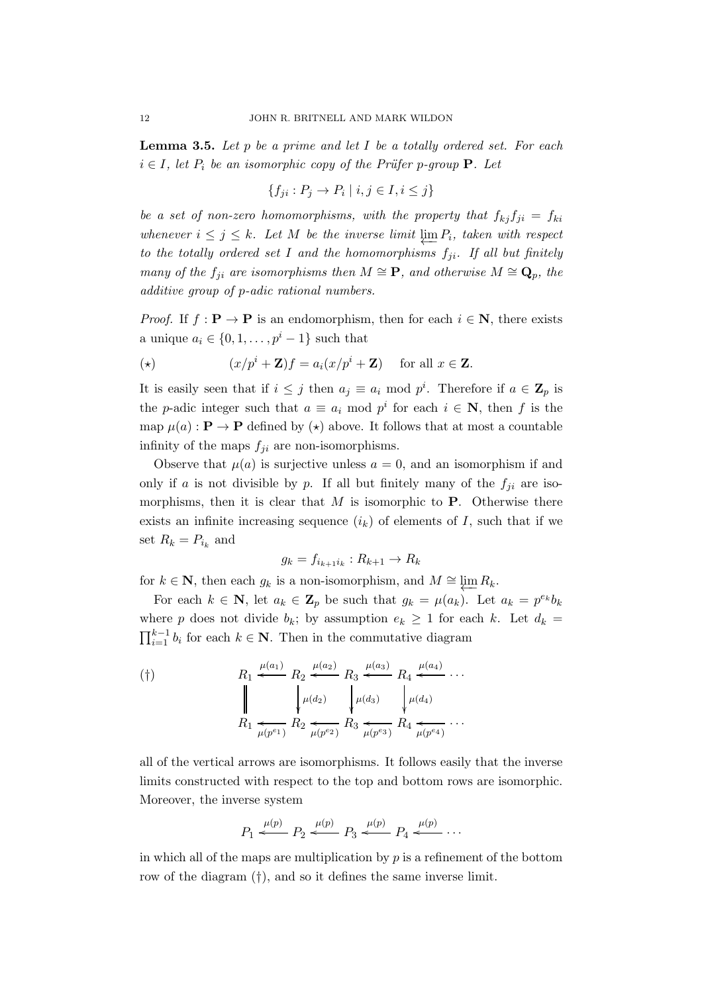<span id="page-11-0"></span>Lemma 3.5. *Let* p *be a prime and let* I *be a totally ordered set. For each*  $i \in I$ , let  $P_i$  be an isomorphic copy of the Prüfer p-group **P**. Let

$$
\{f_{ji}: P_j \to P_i \mid i, j \in I, i \leq j\}
$$

be a set of non-zero homomorphisms, with the property that  $f_{kj}f_{ji} = f_{ki}$  $$ to the totally ordered set I and the homomorphisms  $f_{ji}$ . If all but finitely *many of the*  $f_{ji}$  *are isomorphisms then*  $M \cong \mathbf{P}$ *, and otherwise*  $M \cong \mathbf{Q}_p$ *, the additive group of* p*-adic rational numbers.*

*Proof.* If  $f : \mathbf{P} \to \mathbf{P}$  is an endomorphism, then for each  $i \in \mathbf{N}$ , there exists a unique  $a_i \in \{0, 1, \ldots, p^i-1\}$  such that

$$
(*)\qquad \qquad (x/p^i+\mathbf{Z})f = a_i(x/p^i+\mathbf{Z})\quad\text{ for all }x\in\mathbf{Z}.
$$

It is easily seen that if  $i \leq j$  then  $a_j \equiv a_i \mod p^i$ . Therefore if  $a \in \mathbb{Z}_p$  is the *p*-adic integer such that  $a \equiv a_i \mod p^i$  for each  $i \in \mathbb{N}$ , then f is the map  $\mu(a): \mathbf{P} \to \mathbf{P}$  defined by  $(\star)$  above. It follows that at most a countable infinity of the maps  $f_{ji}$  are non-isomorphisms.

Observe that  $\mu(a)$  is surjective unless  $a = 0$ , and an isomorphism if and only if a is not divisible by p. If all but finitely many of the  $f_{ii}$  are isomorphisms, then it is clear that  $M$  is isomorphic to  $P$ . Otherwise there exists an infinite increasing sequence  $(i_k)$  of elements of I, such that if we set  $R_k = P_{i_k}$  and

$$
g_k = f_{i_{k+1}i_k} : R_{k+1} \to R_k
$$

for  $k \in \mathbb{N}$ , then each  $g_k$  is a non-isomorphism, and  $M \cong \varprojlim R_k$ .

For each  $k \in \mathbb{N}$ , let  $a_k \in \mathbb{Z}_p$  be such that  $g_k = \mu(a_k)$ . Let  $a_k = p^{e_k} b_k$ where p does not divide  $b_k$ ; by assumption  $e_k \geq 1$  for each k. Let  $d_k =$  $\prod_{i=1}^{k-1} b_i$  for each  $k \in \mathbb{N}$ . Then in the commutative diagram

$$
(†)\n\begin{array}{c}\nR_1 \stackrel{\mu(a_1)}{\longleftarrow} R_2 \stackrel{\mu(a_2)}{\longleftarrow} R_3 \stackrel{\mu(a_3)}{\longleftarrow} R_4 \stackrel{\mu(a_4)}{\longleftarrow} \cdots \\
R_1 \stackrel{\mu(a_2)}{\longleftarrow} R_2 \stackrel{\mu(a_3)}{\longleftarrow} R_3 \stackrel{\mu(a_3)}{\longleftarrow} R_4 \stackrel{\mu(a_4)}{\longleftarrow} \cdots \\
R_1 \stackrel{\mu(p^{e_1})}{\longleftarrow} R_2 \stackrel{\mu(p^{e_2})}{\longleftarrow} R_3 \stackrel{\mu(p^{e_3})}{\longleftarrow} R_4 \stackrel{\mu(p^{e_4})}{\longleftarrow} \cdots\n\end{array}
$$

all of the vertical arrows are isomorphisms. It follows easily that the inverse limits constructed with respect to the top and bottom rows are isomorphic. Moreover, the inverse system

$$
P_1 \stackrel{\mu(p)}{\longleftarrow} P_2 \stackrel{\mu(p)}{\longleftarrow} P_3 \stackrel{\mu(p)}{\longleftarrow} P_4 \stackrel{\mu(p)}{\longleftarrow} \cdots
$$

in which all of the maps are multiplication by  $p$  is a refinement of the bottom row of the diagram (†), and so it defines the same inverse limit.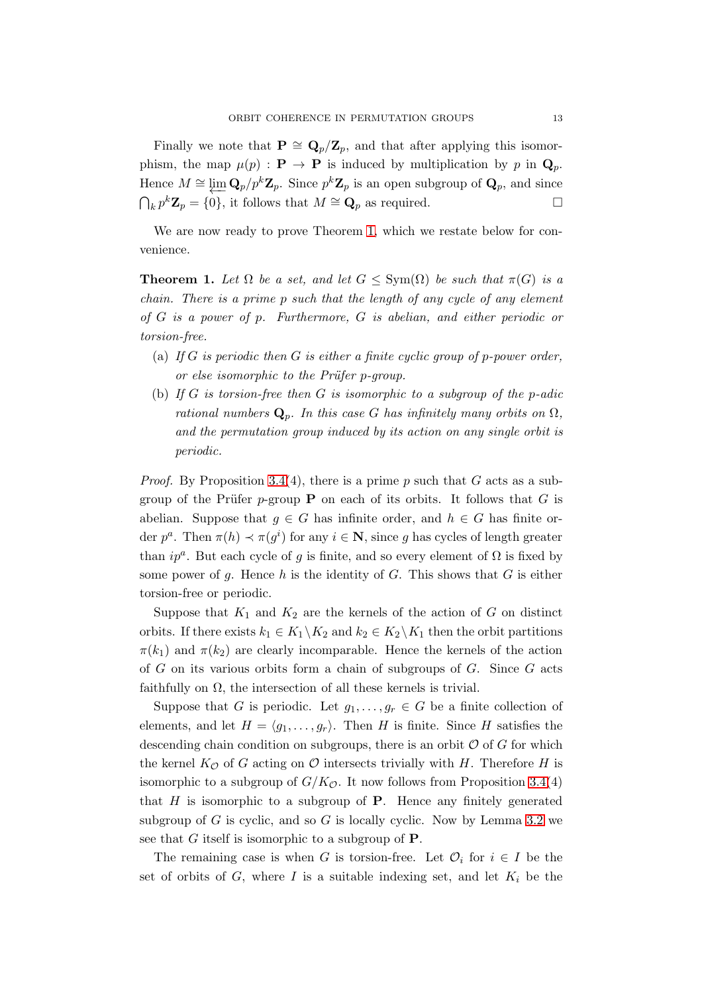Finally we note that  $\mathbf{P} \cong \mathbf{Q}_p/\mathbf{Z}_p$ , and that after applying this isomorphism, the map  $\mu(p) : \mathbf{P} \to \mathbf{P}$  is induced by multiplication by p in  $\mathbf{Q}_p$ . Hence  $M \cong \varprojlim_{p} \mathbf{Q}_p / p^k \mathbf{Z}_p$ . Since  $p^k \mathbf{Z}_p$  is an open subgroup of  $\mathbf{Q}_p$ , and since  $\bigcap_k p^k \mathbf{Z}_p = \{0\}$ , it follows that  $M \cong \mathbf{Q}_p$  as required.

We are now ready to prove Theorem [1,](#page-12-0) which we restate below for convenience.

<span id="page-12-0"></span>**Theorem 1.** Let  $\Omega$  be a set, and let  $G \le \text{Sym}(\Omega)$  be such that  $\pi(G)$  is a *chain. There is a prime* p *such that the length of any cycle of any element of* G *is a power of* p*. Furthermore,* G *is abelian, and either periodic or torsion-free.*

- (a) *If* G *is periodic then* G *is either a finite cyclic group of* p*-power order, or else isomorphic to the Pr¨ufer* p*-group.*
- (b) *If* G *is torsion-free then* G *is isomorphic to a subgroup of the* p*-adic rational numbers*  $\mathbf{Q}_p$ *. In this case G has infinitely many orbits on*  $\Omega$ *, and the permutation group induced by its action on any single orbit is periodic.*

*Proof.* By Proposition [3.4\(](#page-9-0)4), there is a prime  $p$  such that  $G$  acts as a subgroup of the Prüfer p-group **P** on each of its orbits. It follows that G is abelian. Suppose that  $g \in G$  has infinite order, and  $h \in G$  has finite order  $p^a$ . Then  $\pi(h) \prec \pi(g^i)$  for any  $i \in \mathbb{N}$ , since g has cycles of length greater than  $ip^a$ . But each cycle of g is finite, and so every element of  $\Omega$  is fixed by some power of q. Hence h is the identity of  $G$ . This shows that  $G$  is either torsion-free or periodic.

Suppose that  $K_1$  and  $K_2$  are the kernels of the action of G on distinct orbits. If there exists  $k_1 \in K_1 \backslash K_2$  and  $k_2 \in K_2 \backslash K_1$  then the orbit partitions  $\pi(k_1)$  and  $\pi(k_2)$  are clearly incomparable. Hence the kernels of the action of  $G$  on its various orbits form a chain of subgroups of  $G$ . Since  $G$  acts faithfully on  $\Omega$ , the intersection of all these kernels is trivial.

Suppose that G is periodic. Let  $g_1, \ldots, g_r \in G$  be a finite collection of elements, and let  $H = \langle g_1, \ldots, g_r \rangle$ . Then H is finite. Since H satisfies the descending chain condition on subgroups, there is an orbit  $O$  of  $G$  for which the kernel  $K_{\mathcal{O}}$  of G acting on  $\mathcal O$  intersects trivially with H. Therefore H is isomorphic to a subgroup of  $G/K_{\mathcal{O}}$ . It now follows from Proposition [3.4\(](#page-9-0)4) that  $H$  is isomorphic to a subgroup of  $P$ . Hence any finitely generated subgroup of G is cyclic, and so G is locally cyclic. Now by Lemma [3.2](#page-8-3) we see that  $G$  itself is isomorphic to a subgroup of  $P$ .

The remaining case is when G is torsion-free. Let  $\mathcal{O}_i$  for  $i \in I$  be the set of orbits of  $G$ , where  $I$  is a suitable indexing set, and let  $K_i$  be the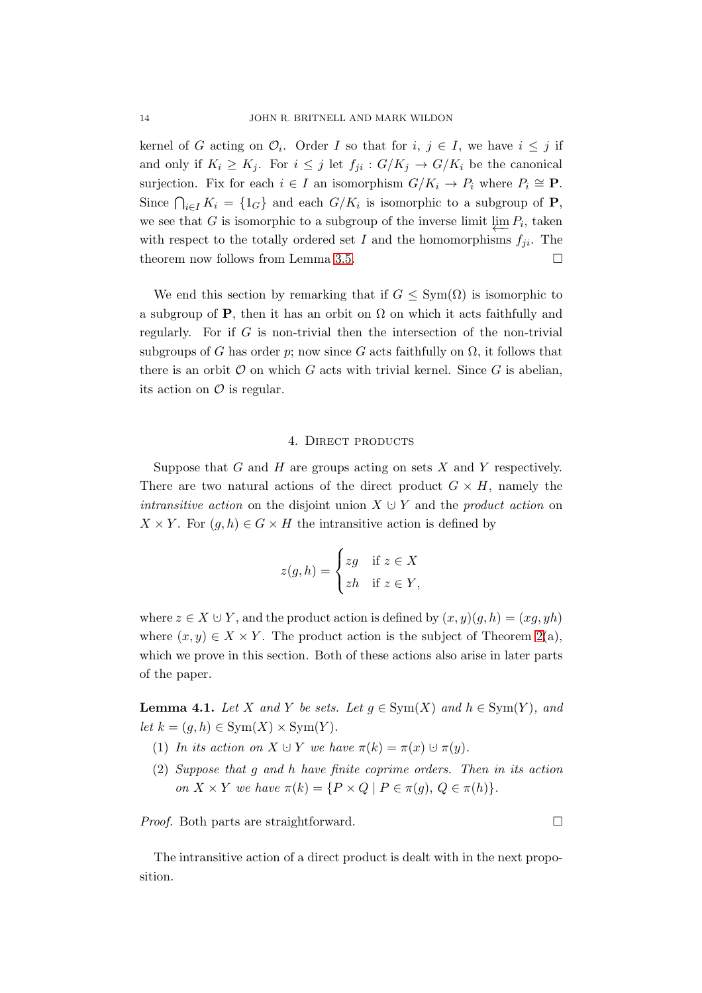kernel of G acting on  $\mathcal{O}_i$ . Order I so that for  $i, j \in I$ , we have  $i \leq j$  if and only if  $K_i \geq K_j$ . For  $i \leq j$  let  $f_{ji} : G/K_j \to G/K_i$  be the canonical surjection. Fix for each  $i \in I$  an isomorphism  $G/K_i \to P_i$  where  $P_i \cong \mathbf{P}$ . Since  $\bigcap_{i\in I} K_i = \{1_G\}$  and each  $G/K_i$  is isomorphic to a subgroup of **P**, we see that G is isomorphic to a subgroup of the inverse limit  $\varprojlim P_i$ , taken with respect to the totally ordered set I and the homomorphisms  $f_{ii}$ . The theorem now follows from Lemma [3.5.](#page-11-0)

We end this section by remarking that if  $G \leq \text{Sym}(\Omega)$  is isomorphic to a subgroup of P, then it has an orbit on  $\Omega$  on which it acts faithfully and regularly. For if  $G$  is non-trivial then the intersection of the non-trivial subgroups of G has order p; now since G acts faithfully on  $\Omega$ , it follows that there is an orbit  $\mathcal O$  on which G acts with trivial kernel. Since G is abelian, its action on  $\mathcal O$  is regular.

#### 4. DIRECT PRODUCTS

<span id="page-13-0"></span>Suppose that  $G$  and  $H$  are groups acting on sets  $X$  and  $Y$  respectively. There are two natural actions of the direct product  $G \times H$ , namely the *intransitive action* on the disjoint union  $X \cup Y$  and the *product action* on  $X \times Y$ . For  $(g, h) \in G \times H$  the intransitive action is defined by

$$
z(g, h) = \begin{cases} zg & \text{if } z \in X \\ zh & \text{if } z \in Y, \end{cases}
$$

where  $z \in X \cup Y$ , and the product action is defined by  $(x, y)(g, h) = (xg, yh)$ where  $(x, y) \in X \times Y$ . The product action is the subject of Theorem [2\(](#page-1-0)a), which we prove in this section. Both of these actions also arise in later parts of the paper.

<span id="page-13-2"></span><span id="page-13-1"></span>**Lemma 4.1.** *Let* X and Y *be sets. Let*  $g \in Sym(X)$  *and*  $h \in Sym(Y)$ *, and let*  $k = (g, h) \in \text{Sym}(X) \times \text{Sym}(Y)$ *.* 

- <span id="page-13-3"></span>(1) In its action on  $X \cup Y$  we have  $\pi(k) = \pi(x) \cup \pi(y)$ .
- (2) *Suppose that* g *and* h *have finite coprime orders. Then in its action on*  $X \times Y$  *we have*  $\pi(k) = \{P \times Q \mid P \in \pi(g), Q \in \pi(h)\}.$

*Proof.* Both parts are straightforward. □

The intransitive action of a direct product is dealt with in the next proposition.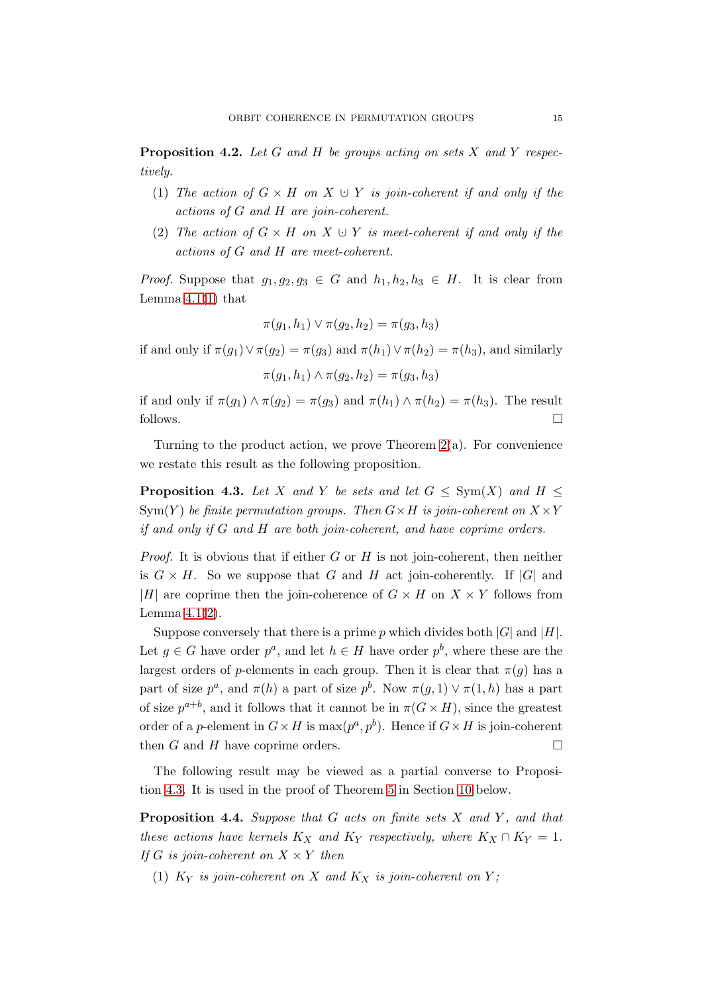<span id="page-14-1"></span>Proposition 4.2. *Let* G *and* H *be groups acting on sets* X *and* Y *respectively.*

- (1) *The action of*  $G \times H$  *on*  $X \cup Y$  *is join-coherent if and only if the actions of* G *and* H *are join-coherent.*
- (2) *The action of*  $G \times H$  *on*  $X \cup Y$  *is meet-coherent if and only if the actions of* G *and* H *are meet-coherent.*

*Proof.* Suppose that  $g_1, g_2, g_3 \in G$  and  $h_1, h_2, h_3 \in H$ . It is clear from Lemma  $4.1(1)$  $4.1(1)$  that

$$
\pi(g_1, h_1) \vee \pi(g_2, h_2) = \pi(g_3, h_3)
$$

if and only if  $\pi(g_1) \vee \pi(g_2) = \pi(g_3)$  and  $\pi(h_1) \vee \pi(h_2) = \pi(h_3)$ , and similarly

$$
\pi(g_1, h_1) \wedge \pi(g_2, h_2) = \pi(g_3, h_3)
$$

if and only if  $\pi(g_1) \wedge \pi(g_2) = \pi(g_3)$  and  $\pi(h_1) \wedge \pi(h_2) = \pi(h_3)$ . The result follows.  $\Box$ 

Turning to the product action, we prove Theorem  $2(a)$ . For convenience we restate this result as the following proposition.

<span id="page-14-0"></span>**Proposition 4.3.** Let X and Y be sets and let  $G \le \text{Sym}(X)$  and  $H \le$ Sym $(Y)$  *be finite permutation groups. Then*  $G \times H$  *is join-coherent on*  $X \times Y$ *if and only if* G *and* H *are both join-coherent, and have coprime orders.*

*Proof.* It is obvious that if either G or H is not join-coherent, then neither is  $G \times H$ . So we suppose that G and H act join-coherently. If |G| and |H| are coprime then the join-coherence of  $G \times H$  on  $X \times Y$  follows from Lemma [4.1](#page-13-1)[\(2\)](#page-13-3).

Suppose conversely that there is a prime p which divides both  $|G|$  and  $|H|$ . Let  $g \in G$  have order  $p^a$ , and let  $h \in H$  have order  $p^b$ , where these are the largest orders of p-elements in each group. Then it is clear that  $\pi(q)$  has a part of size  $p^a$ , and  $\pi(h)$  a part of size  $p^b$ . Now  $\pi(g, 1) \vee \pi(1, h)$  has a part of size  $p^{a+b}$ , and it follows that it cannot be in  $\pi(G \times H)$ , since the greatest order of a *p*-element in  $G \times H$  is  $\max(p^a, p^b)$ . Hence if  $G \times H$  is join-coherent then  $G$  and  $H$  have coprime orders.

The following result may be viewed as a partial converse to Proposition [4.3.](#page-14-0) It is used in the proof of Theorem [5](#page-33-0) in Section [10](#page-31-0) below.

<span id="page-14-2"></span>**Proposition 4.4.** *Suppose that* G *acts on finite sets* X *and* Y, *and that these actions have kernels*  $K_X$  *and*  $K_Y$  *respectively, where*  $K_X \cap K_Y = 1$ *. If*  $G$  *is join-coherent on*  $X \times Y$  *then* 

(1)  $K_Y$  *is join-coherent on* X and  $K_X$  *is join-coherent on* Y;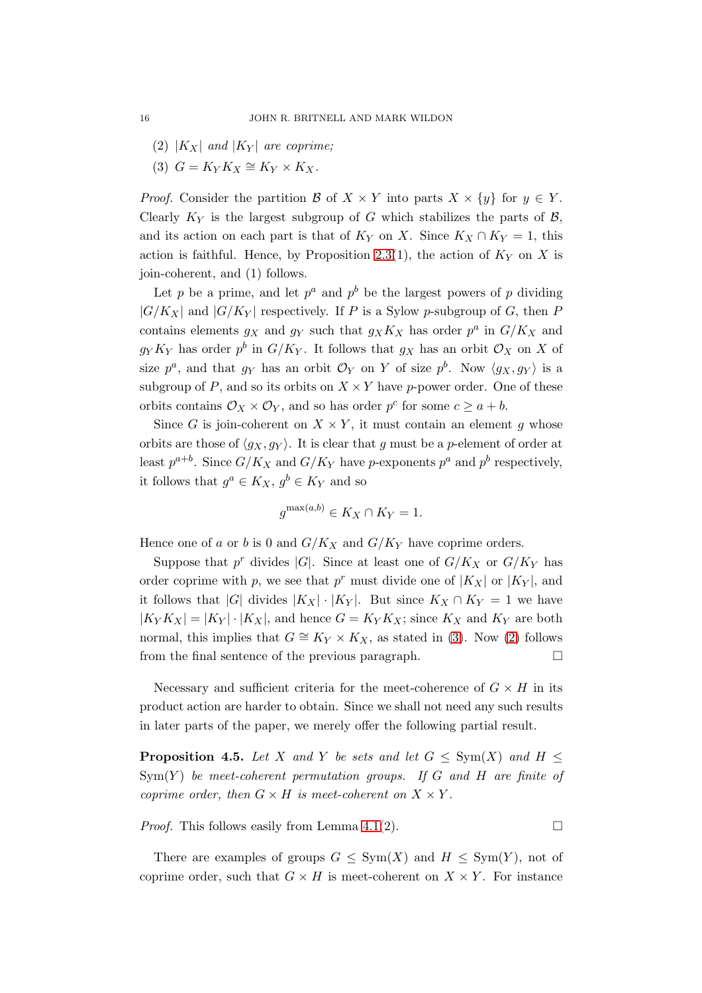- <span id="page-15-0"></span>(2)  $|K_X|$  *and*  $|K_Y|$  *are coprime;*
- (3)  $G = K_Y K_X \cong K_Y \times K_X$ .

*Proof.* Consider the partition B of  $X \times Y$  into parts  $X \times \{y\}$  for  $y \in Y$ . Clearly  $K_Y$  is the largest subgroup of G which stabilizes the parts of  $\mathcal{B}$ , and its action on each part is that of  $K_Y$  on X. Since  $K_X \cap K_Y = 1$ , this action is faithful. Hence, by Proposition [2.3\(](#page-7-1)1), the action of  $K_Y$  on X is join-coherent, and (1) follows.

Let p be a prime, and let  $p^a$  and  $p^b$  be the largest powers of p dividing  $|G/K_X|$  and  $|G/K_Y|$  respectively. If P is a Sylow p-subgroup of G, then P contains elements  $g_X$  and  $g_Y$  such that  $g_X K_X$  has order  $p^a$  in  $G/K_X$  and  $g_Y K_Y$  has order  $p^b$  in  $G/K_Y$ . It follows that  $g_X$  has an orbit  $\mathcal{O}_X$  on X of size  $p^a$ , and that  $g_Y$  has an orbit  $\mathcal{O}_Y$  on Y of size  $p^b$ . Now  $\langle g_X, g_Y \rangle$  is a subgroup of P, and so its orbits on  $X \times Y$  have p-power order. One of these orbits contains  $\mathcal{O}_X \times \mathcal{O}_Y$ , and so has order  $p^c$  for some  $c \geq a + b$ .

Since G is join-coherent on  $X \times Y$ , it must contain an element g whose orbits are those of  $\langle g_X, g_Y \rangle$ . It is clear that g must be a p-element of order at least  $p^{a+b}$ . Since  $G/K_X$  and  $G/K_Y$  have p-exponents  $p^a$  and  $p^b$  respectively, it follows that  $g^a \in K_X$ ,  $g^b \in K_Y$  and so

$$
g^{\max(a,b)} \in K_X \cap K_Y = 1.
$$

Hence one of a or b is 0 and  $G/K_X$  and  $G/K_Y$  have coprime orders.

Suppose that  $p^r$  divides |G|. Since at least one of  $G/K_X$  or  $G/K_Y$  has order coprime with p, we see that  $p^r$  must divide one of  $|K_X|$  or  $|K_Y|$ , and it follows that |G| divides  $|K_X| \cdot |K_Y|$ . But since  $K_X \cap K_Y = 1$  we have  $|K_Y K_X| = |K_Y| \cdot |K_X|$ , and hence  $G = K_Y K_X$ ; since  $K_X$  and  $K_Y$  are both normal, this implies that  $G \cong K_Y \times K_X$ , as stated in [\(3\)](#page-15-0). Now [\(2\)](#page-15-1) follows from the final sentence of the previous paragraph.  $\Box$ 

Necessary and sufficient criteria for the meet-coherence of  $G \times H$  in its product action are harder to obtain. Since we shall not need any such results in later parts of the paper, we merely offer the following partial result.

**Proposition 4.5.** Let X and Y be sets and let  $G \le \text{Sym}(X)$  and  $H \le$  $Sym(Y)$  *be meet-coherent permutation groups.* If G and H are finite of *coprime order, then*  $G \times H$  *is meet-coherent on*  $X \times Y$ *.* 

*Proof.* This follows easily from Lemma [4.1\(](#page-13-1)2).  $\Box$ 

There are examples of groups  $G \le Sym(X)$  and  $H \le Sym(Y)$ , not of coprime order, such that  $G \times H$  is meet-coherent on  $X \times Y$ . For instance

<span id="page-15-1"></span>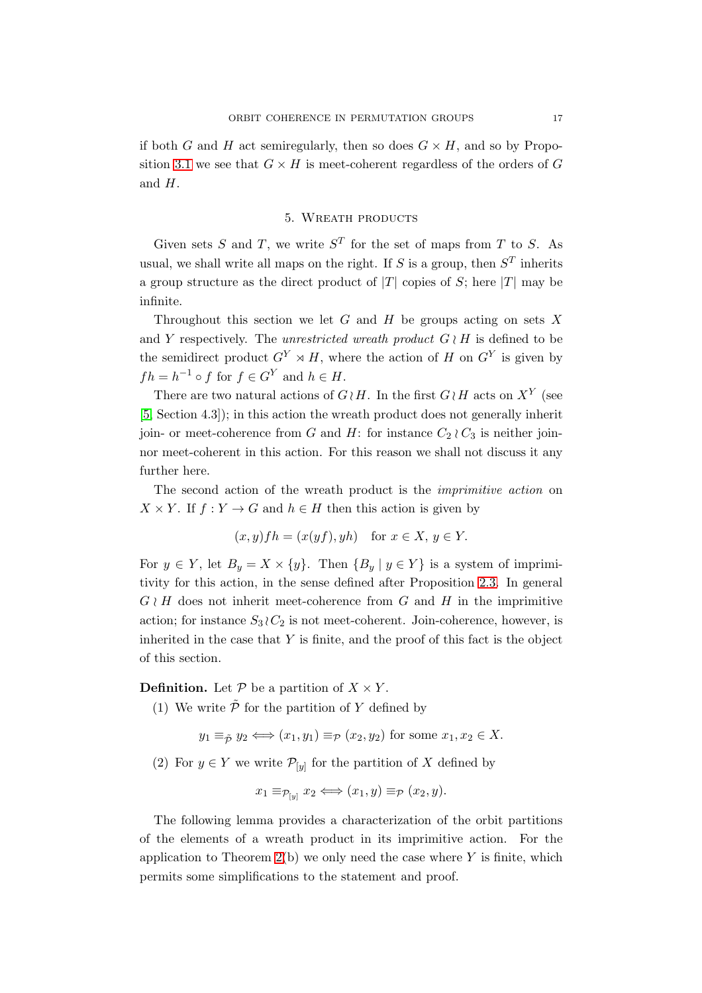<span id="page-16-0"></span>if both G and H act semiregularly, then so does  $G \times H$ , and so by Propo-sition [3.1](#page-8-4) we see that  $G \times H$  is meet-coherent regardless of the orders of G and H.

# 5. Wreath products

Given sets S and T, we write  $S<sup>T</sup>$  for the set of maps from T to S. As usual, we shall write all maps on the right. If S is a group, then  $S<sup>T</sup>$  inherits a group structure as the direct product of  $|T|$  copies of S; here  $|T|$  may be infinite.

Throughout this section we let G and H be groups acting on sets X and Y respectively. The *unrestricted wreath product*  $G \wr H$  is defined to be the semidirect product  $G^Y \rtimes H$ , where the action of H on  $G^Y$  is given by  $fh = h^{-1} \circ f$  for  $f \in G^Y$  and  $h \in H$ .

There are two natural actions of  $G \wr H$ . In the first  $G \wr H$  acts on  $X^Y$  (see [\[5,](#page-34-5) Section 4.3]); in this action the wreath product does not generally inherit join- or meet-coherence from G and H: for instance  $C_2 \wr C_3$  is neither joinnor meet-coherent in this action. For this reason we shall not discuss it any further here.

The second action of the wreath product is the *imprimitive action* on  $X \times Y$ . If  $f: Y \to G$  and  $h \in H$  then this action is given by

$$
(x, y)fh = (x(yf), yh)
$$
 for  $x \in X, y \in Y$ .

For  $y \in Y$ , let  $B_y = X \times \{y\}$ . Then  $\{B_y | y \in Y\}$  is a system of imprimitivity for this action, in the sense defined after Proposition [2.3.](#page-7-1) In general  $G \wr H$  does not inherit meet-coherence from G and H in the imprimitive action; for instance  $S_3 \, \wr C_2$  is not meet-coherent. Join-coherence, however, is inherited in the case that  $Y$  is finite, and the proof of this fact is the object of this section.

**Definition.** Let  $P$  be a partition of  $X \times Y$ .

(1) We write  $\tilde{\mathcal{P}}$  for the partition of Y defined by

$$
y_1 \equiv_{\tilde{P}} y_2 \iff (x_1, y_1) \equiv_{\mathcal{P}} (x_2, y_2)
$$
 for some  $x_1, x_2 \in X$ .

(2) For  $y \in Y$  we write  $\mathcal{P}_{[y]}$  for the partition of X defined by

$$
x_1 \equiv_{\mathcal{P}_{[y]}} x_2 \Longleftrightarrow (x_1, y) \equiv_{\mathcal{P}} (x_2, y).
$$

The following lemma provides a characterization of the orbit partitions of the elements of a wreath product in its imprimitive action. For the application to Theorem  $2(b)$  we only need the case where Y is finite, which permits some simplifications to the statement and proof.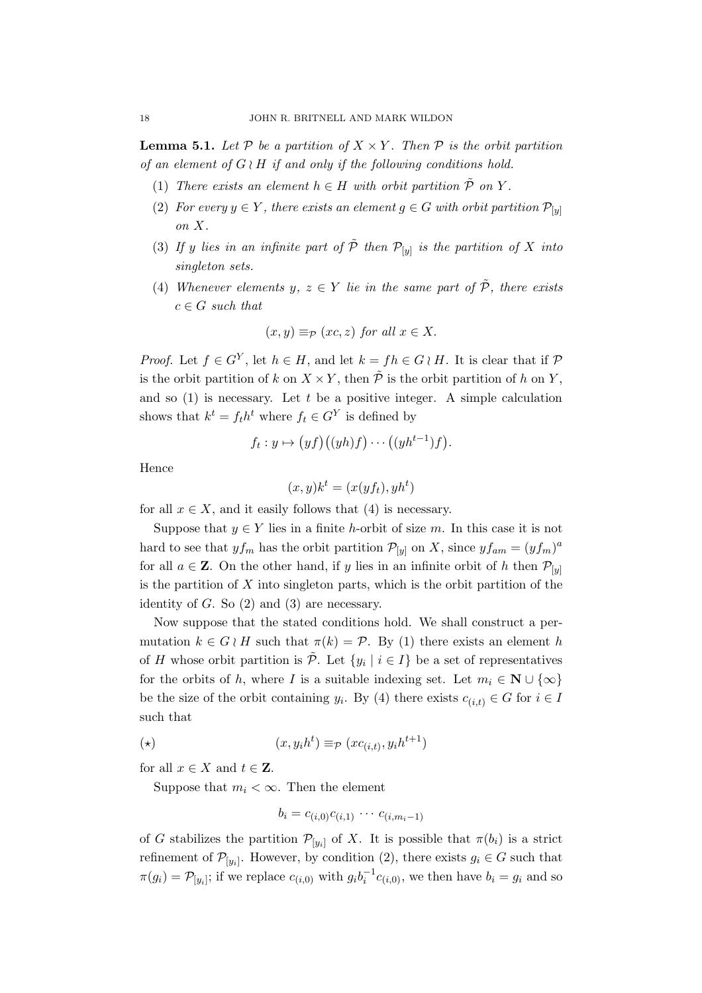<span id="page-17-0"></span>**Lemma 5.1.** Let  $P$  be a partition of  $X \times Y$ . Then  $P$  is the orbit partition *of an element of* G ≀ H *if and only if the following conditions hold.*

- (1) *There exists an element*  $h \in H$  *with orbit partition*  $\mathcal{P}$  *on* Y.
- (2) *For every*  $y \in Y$ *, there exists an element*  $g \in G$  *with orbit partition*  $\mathcal{P}_{[y]}$ *on* X*.*
- (3) If y lies in an infinite part of  $\tilde{\mathcal{P}}$  then  $\mathcal{P}_{[y]}$  is the partition of X into *singleton sets.*
- (4) *Whenever elements*  $y, z \in Y$  *lie in the same part of*  $\tilde{P}$ *, there exists*  $c \in G$  *such that*

$$
(x, y) \equiv_{\mathcal{P}} (xc, z)
$$
 for all  $x \in X$ .

*Proof.* Let  $f \in G^Y$ , let  $h \in H$ , and let  $k = fh \in G \wr H$ . It is clear that if  $P$ is the orbit partition of k on  $X \times Y$ , then  $\tilde{P}$  is the orbit partition of h on Y. and so  $(1)$  is necessary. Let t be a positive integer. A simple calculation shows that  $k^t = f_t h^t$  where  $f_t \in G^Y$  is defined by

$$
f_t: y \mapsto (y f)((y h)f) \cdots ((y h^{t-1}) f).
$$

Hence

$$
(x, y)k^t = (x(yf_t), yh^t)
$$

for all  $x \in X$ , and it easily follows that (4) is necessary.

Suppose that  $y \in Y$  lies in a finite h-orbit of size m. In this case it is not hard to see that  $y f_m$  has the orbit partition  $\mathcal{P}_{[y]}$  on X, since  $y f_{am} = (y f_m)^a$ for all  $a \in \mathbb{Z}$ . On the other hand, if y lies in an infinite orbit of h then  $\mathcal{P}_{[y]}$ is the partition of  $X$  into singleton parts, which is the orbit partition of the identity of  $G$ . So  $(2)$  and  $(3)$  are necessary.

Now suppose that the stated conditions hold. We shall construct a permutation  $k \in G \wr H$  such that  $\pi(k) = \mathcal{P}$ . By (1) there exists an element h of H whose orbit partition is  $\tilde{\mathcal{P}}$ . Let  $\{y_i \mid i \in I\}$  be a set of representatives for the orbits of h, where I is a suitable indexing set. Let  $m_i \in \mathbb{N} \cup \{\infty\}$ be the size of the orbit containing  $y_i$ . By (4) there exists  $c_{(i,t)} \in G$  for  $i \in I$ such that

$$
(\star) \qquad \qquad (x, y_i h^t) \equiv_{\mathcal{P}} (x c_{(i,t)}, y_i h^{t+1})
$$

for all  $x \in X$  and  $t \in \mathbb{Z}$ .

Suppose that  $m_i < \infty$ . Then the element

$$
b_i = c_{(i,0)}c_{(i,1)} \cdots c_{(i,m_i-1)}
$$

of G stabilizes the partition  $\mathcal{P}_{[y_i]}$  of X. It is possible that  $\pi(b_i)$  is a strict refinement of  $\mathcal{P}_{[y_i]}$ . However, by condition (2), there exists  $g_i \in G$  such that  $\pi(g_i) = \mathcal{P}_{[y_i]}$ ; if we replace  $c_{(i,0)}$  with  $g_i b_i^{-1} c_{(i,0)}$ , we then have  $b_i = g_i$  and so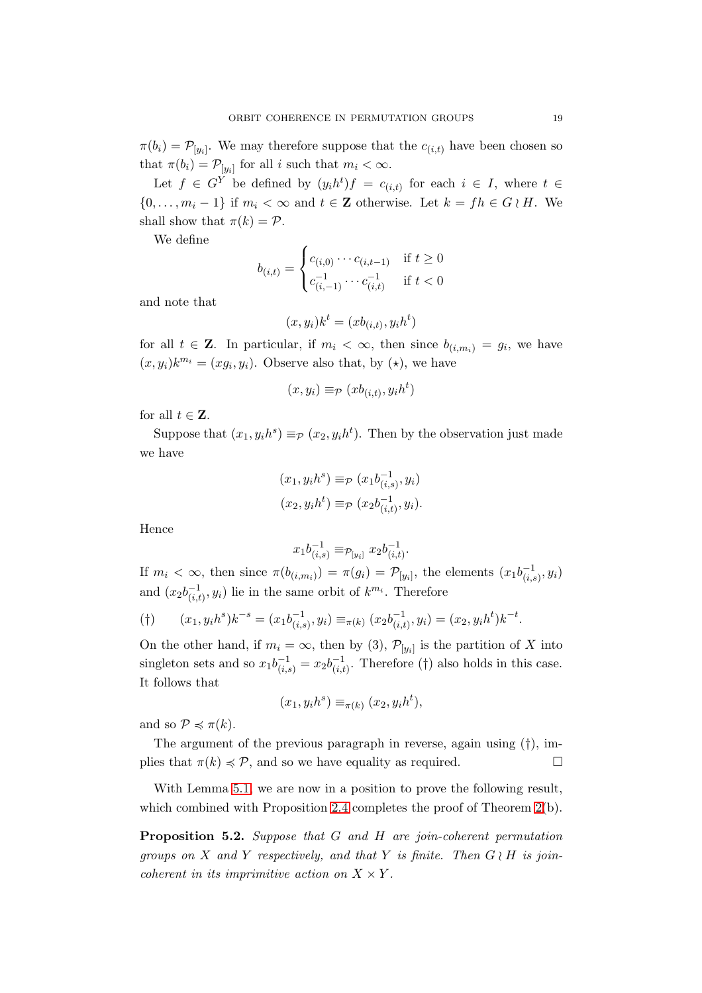$\pi(b_i) = \mathcal{P}_{[y_i]}$ . We may therefore suppose that the  $c_{(i,t)}$  have been chosen so that  $\pi(b_i) = \mathcal{P}_{[y_i]}$  for all i such that  $m_i < \infty$ .

Let  $f \in G^Y$  be defined by  $(y_i h^t) f = c_{(i,t)}$  for each  $i \in I$ , where  $t \in I$  $\{0,\ldots,m_i-1\}$  if  $m_i < \infty$  and  $t \in \mathbb{Z}$  otherwise. Let  $k = fh \in G \wr H$ . We shall show that  $\pi(k) = \mathcal{P}$ .

We define

$$
b_{(i,t)} = \begin{cases} c_{(i,0)} \cdots c_{(i,t-1)} & \text{if } t \ge 0\\ c_{(i,-1)}^{-1} \cdots c_{(i,t)}^{-1} & \text{if } t < 0 \end{cases}
$$

and note that

$$
(x, y_i)k^t = (xb_{(i,t)}, y_ih^t)
$$

for all  $t \in \mathbf{Z}$ . In particular, if  $m_i < \infty$ , then since  $b_{(i,m_i)} = g_i$ , we have  $(x, y_i)k^{m_i} = (xg_i, y_i)$ . Observe also that, by  $(\star)$ , we have

$$
(x, y_i) \equiv_{\mathcal{P}} (xb_{(i,t)}, y_i h^t)
$$

for all  $t \in \mathbf{Z}$ .

Suppose that  $(x_1, y_i h^s) \equiv_P (x_2, y_i h^t)$ . Then by the observation just made we have

$$
(x_1, y_i h^s) \equiv_{\mathcal{P}} (x_1 b_{(i,s)}^{-1}, y_i)
$$

$$
(x_2, y_i h^t) \equiv_{\mathcal{P}} (x_2 b_{(i,t)}^{-1}, y_i).
$$

Hence

$$
x_1 b_{(i,s)}^{-1} \equiv_{\mathcal{P}_{[y_i]}} x_2 b_{(i,t)}^{-1}.
$$

If  $m_i < \infty$ , then since  $\pi(b_{(i,m_i)}) = \pi(g_i) = \mathcal{P}_{[y_i]}$ , the elements  $(x_1 b_{(i,s_i)}^{-1})$  $\frac{-1}{(i,s)}, y_i)$ and  $(x_2b_{(i,t)}^{-1}$  $\binom{-1}{(i,t)}, y_i$  lie in the same orbit of  $k^{m_i}$ . Therefore

$$
(*) \qquad (x_1, y_i h^s) k^{-s} = (x_1 b_{(i,s)}^{-1}, y_i) \equiv_{\pi(k)} (x_2 b_{(i,t)}^{-1}, y_i) = (x_2, y_i h^t) k^{-t}.
$$

On the other hand, if  $m_i = \infty$ , then by (3),  $\mathcal{P}_{[y_i]}$  is the partition of X into singleton sets and so  $x_1b_{(i,s)}^{-1} = x_2b_{(i,t)}^{-1}$  $\overline{c}_{(i,t)}^{-1}$ . Therefore (†) also holds in this case. It follows that

$$
(x_1, y_i h^s) \equiv_{\pi(k)} (x_2, y_i h^t),
$$

and so  $\mathcal{P} \preccurlyeq \pi(k)$ .

The argument of the previous paragraph in reverse, again using  $(\dagger)$ , implies that  $\pi(k) \preccurlyeq \mathcal{P}$ , and so we have equality as required.

With Lemma [5.1,](#page-17-0) we are now in a position to prove the following result, which combined with Proposition [2.4](#page-7-0) completes the proof of Theorem [2\(](#page-1-0)b).

<span id="page-18-0"></span>Proposition 5.2. *Suppose that* G *and* H *are join-coherent permutation groups on* X *and* Y *respectively, and that* Y *is finite. Then* G ≀ H *is joincoherent in its imprimitive action on*  $X \times Y$ *.*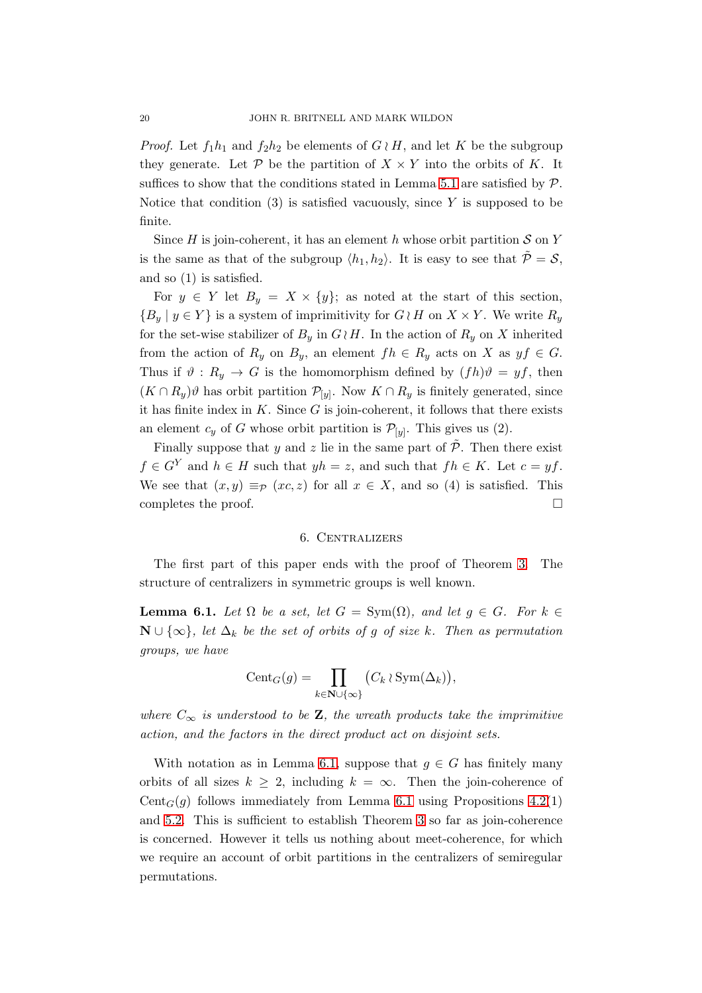*Proof.* Let  $f_1h_1$  and  $f_2h_2$  be elements of  $G \wr H$ , and let K be the subgroup they generate. Let  $P$  be the partition of  $X \times Y$  into the orbits of K. It suffices to show that the conditions stated in Lemma [5.1](#page-17-0) are satisfied by  $\mathcal{P}$ . Notice that condition  $(3)$  is satisfied vacuously, since Y is supposed to be finite.

Since  $H$  is join-coherent, it has an element  $h$  whose orbit partition  $S$  on  $Y$ is the same as that of the subgroup  $\langle h_1, h_2 \rangle$ . It is easy to see that  $\tilde{\mathcal{P}} = \mathcal{S}$ , and so (1) is satisfied.

For  $y \in Y$  let  $B_y = X \times \{y\}$ ; as noted at the start of this section,  ${B_u | y \in Y}$  is a system of imprimitivity for  $G \wr H$  on  $X \times Y$ . We write  $R_u$ for the set-wise stabilizer of  $B_y$  in  $G \wr H$ . In the action of  $R_y$  on X inherited from the action of  $R_y$  on  $B_y$ , an element  $fh \in R_y$  acts on X as  $yf \in G$ . Thus if  $\vartheta : R_y \to G$  is the homomorphism defined by  $(fh)\vartheta = yf$ , then  $(K \cap R_y)\vartheta$  has orbit partition  $\mathcal{P}_{[y]}$ . Now  $K \cap R_y$  is finitely generated, since it has finite index in  $K$ . Since  $G$  is join-coherent, it follows that there exists an element  $c_y$  of G whose orbit partition is  $\mathcal{P}_{[y]}$ . This gives us (2).

Finally suppose that y and z lie in the same part of  $\tilde{\mathcal{P}}$ . Then there exist  $f \in G^Y$  and  $h \in H$  such that  $yh = z$ , and such that  $fh \in K$ . Let  $c = yf$ . We see that  $(x, y) \equiv_{\mathcal{P}} (xc, z)$  for all  $x \in X$ , and so (4) is satisfied. This completes the proof.

# 6. Centralizers

<span id="page-19-0"></span>The first part of this paper ends with the proof of Theorem [3.](#page-21-0) The structure of centralizers in symmetric groups is well known.

<span id="page-19-1"></span>**Lemma 6.1.** *Let*  $\Omega$  *be a set, let*  $G = \text{Sym}(\Omega)$ *, and let*  $g \in G$ *. For*  $k \in$ N ∪  $\{\infty\}$ *, let*  $\Delta_k$  *be the set of orbits of g of size* k*.* Then as permutation *groups, we have*

$$
\operatorname{Cent}_G(g) = \prod_{k \in \mathbf{N} \cup \{\infty\}} \big( C_k \wr \operatorname{Sym}(\Delta_k) \big),
$$

*where*  $C_{\infty}$  *is understood to be* **Z***, the wreath products take the imprimitive action, and the factors in the direct product act on disjoint sets.*

With notation as in Lemma [6.1,](#page-19-1) suppose that  $q \in G$  has finitely many orbits of all sizes  $k > 2$ , including  $k = \infty$ . Then the join-coherence of Cent<sub>G</sub>(g) follows immediately from Lemma [6.1](#page-19-1) using Propositions [4.2\(](#page-14-1)1) and [5.2.](#page-18-0) This is sufficient to establish Theorem [3](#page-21-0) so far as join-coherence is concerned. However it tells us nothing about meet-coherence, for which we require an account of orbit partitions in the centralizers of semiregular permutations.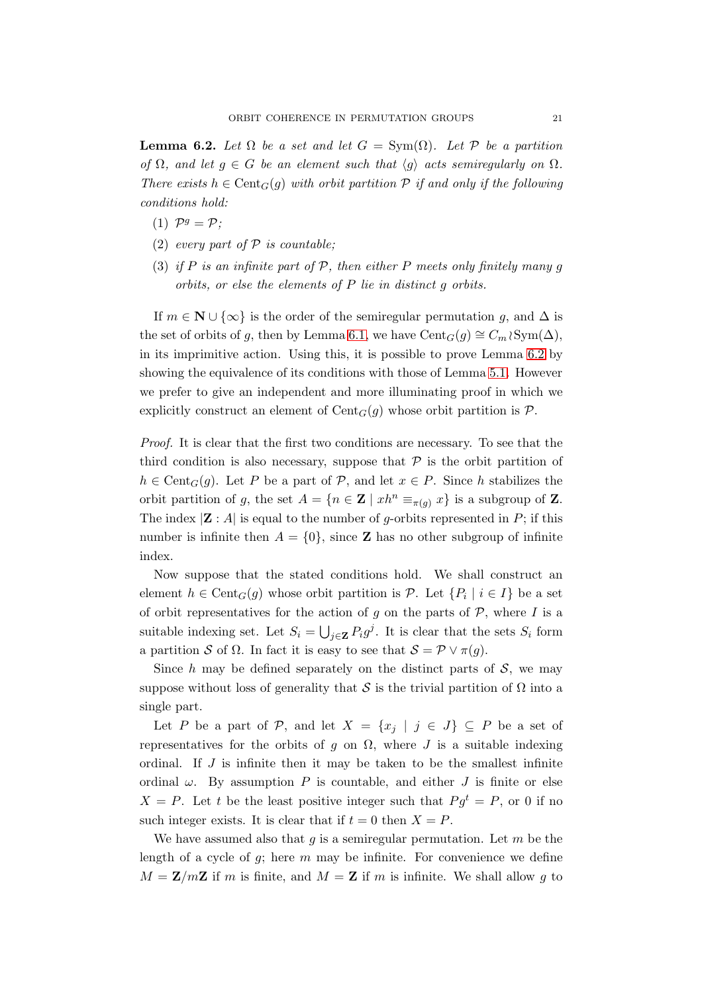<span id="page-20-0"></span>**Lemma 6.2.** *Let*  $\Omega$  *be a set and let*  $G = \text{Sym}(\Omega)$ *. Let*  $P$  *be a partition of*  $\Omega$ *, and let*  $g \in G$  *be an element such that*  $\langle g \rangle$  *acts semiregularly on*  $\Omega$ *. There exists*  $h \in \text{Cent}_G(g)$  *with orbit partition*  $P$  *if and only if the following conditions hold:*

- (1)  $\mathcal{P}^g = \mathcal{P}$ ;
- (2) *every part of* P *is countable;*
- (3) *if* P *is an infinite part of* P*, then either* P *meets only finitely many* g *orbits, or else the elements of* P *lie in distinct* g *orbits.*

If  $m \in \mathbb{N} \cup \{\infty\}$  is the order of the semiregular permutation q, and  $\Delta$  is the set of orbits of g, then by Lemma [6.1,](#page-19-1) we have Cent $_G(g) \cong C_m \wr \mathrm{Sym}(\Delta)$ , in its imprimitive action. Using this, it is possible to prove Lemma [6.2](#page-20-0) by showing the equivalence of its conditions with those of Lemma [5.1.](#page-17-0) However we prefer to give an independent and more illuminating proof in which we explicitly construct an element of  $Cent_G(q)$  whose orbit partition is  $\mathcal{P}$ .

*Proof.* It is clear that the first two conditions are necessary. To see that the third condition is also necessary, suppose that  $P$  is the orbit partition of  $h \in \text{Cent}_G(g)$ . Let P be a part of P, and let  $x \in P$ . Since h stabilizes the orbit partition of g, the set  $A = \{n \in \mathbb{Z} \mid xh^n \equiv_{\pi(a)} x\}$  is a subgroup of Z. The index  $|\mathbf{Z}: A|$  is equal to the number of g-orbits represented in P; if this number is infinite then  $A = \{0\}$ , since **Z** has no other subgroup of infinite index.

Now suppose that the stated conditions hold. We shall construct an element  $h \in \text{Cent}_G(g)$  whose orbit partition is  $P$ . Let  $\{P_i \mid i \in I\}$  be a set of orbit representatives for the action of g on the parts of  $P$ , where I is a suitable indexing set. Let  $S_i = \bigcup_{j \in \mathbf{Z}} P_i g^j$ . It is clear that the sets  $S_i$  form a partition S of  $\Omega$ . In fact it is easy to see that  $S = \mathcal{P} \vee \pi(g)$ .

Since h may be defined separately on the distinct parts of  $S$ , we may suppose without loss of generality that S is the trivial partition of  $\Omega$  into a single part.

Let P be a part of P, and let  $X = \{x_i \mid j \in J\} \subseteq P$  be a set of representatives for the orbits of g on  $\Omega$ , where J is a suitable indexing ordinal. If  $J$  is infinite then it may be taken to be the smallest infinite ordinal  $\omega$ . By assumption P is countable, and either J is finite or else  $X = P$ . Let t be the least positive integer such that  $P g^t = P$ , or 0 if no such integer exists. It is clear that if  $t = 0$  then  $X = P$ .

We have assumed also that q is a semiregular permutation. Let  $m$  be the length of a cycle of  $g$ ; here  $m$  may be infinite. For convenience we define  $M = \mathbf{Z}/m\mathbf{Z}$  if m is finite, and  $M = \mathbf{Z}$  if m is infinite. We shall allow g to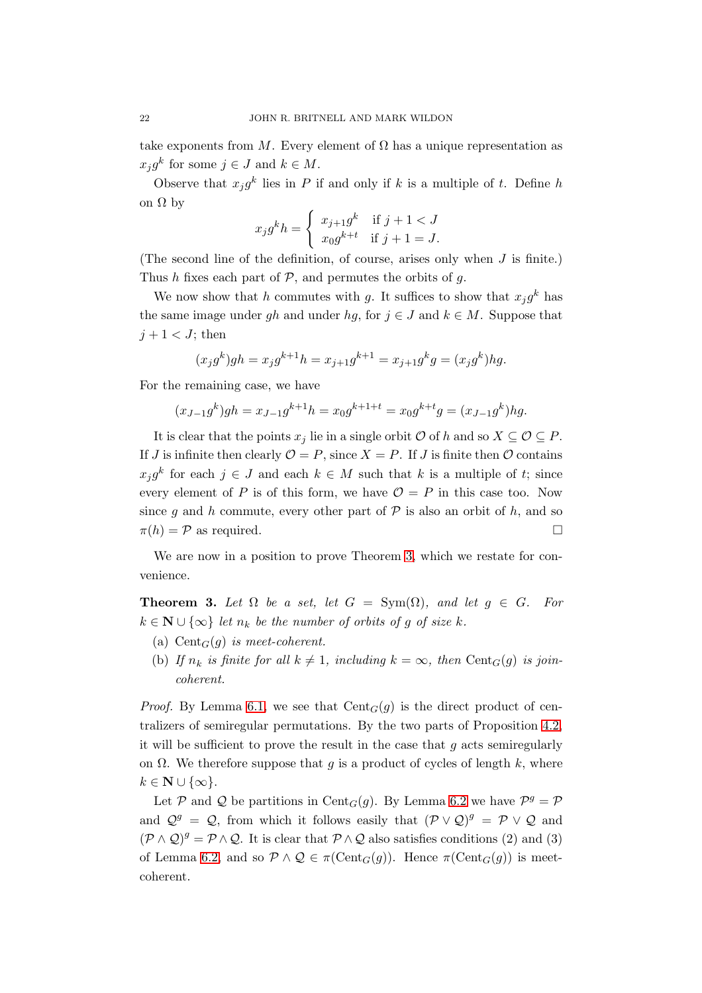take exponents from M. Every element of  $\Omega$  has a unique representation as  $x_j g^k$  for some  $j \in J$  and  $k \in M$ .

Observe that  $x_j g^k$  lies in P if and only if k is a multiple of t. Define h on  $\Omega$  by

$$
x_j g^k h = \begin{cases} x_{j+1} g^k & \text{if } j+1 < J \\ x_0 g^{k+t} & \text{if } j+1 = J. \end{cases}
$$

(The second line of the definition, of course, arises only when J is finite.) Thus h fixes each part of  $P$ , and permutes the orbits of q.

We now show that h commutes with g. It suffices to show that  $x_j g^k$  has the same image under gh and under hg, for  $j \in J$  and  $k \in M$ . Suppose that  $j+1 < J$ ; then

$$
(x_j g^k) gh = x_j g^{k+1} h = x_{j+1} g^{k+1} = x_{j+1} g^k g = (x_j g^k) hg.
$$

For the remaining case, we have

$$
(x_{J-1}g^k)gh = x_{J-1}g^{k+1}h = x_0g^{k+1+t} = x_0g^{k+t}g = (x_{J-1}g^k)hg.
$$

It is clear that the points  $x_j$  lie in a single orbit  $\mathcal O$  of h and so  $X \subseteq \mathcal O \subseteq P$ . If J is infinite then clearly  $\mathcal{O} = P$ , since  $X = P$ . If J is finite then  $\mathcal O$  contains  $x_j g^k$  for each  $j \in J$  and each  $k \in M$  such that k is a multiple of t; since every element of P is of this form, we have  $\mathcal{O} = P$  in this case too. Now since g and h commute, every other part of  $P$  is also an orbit of h, and so  $\pi(h) = \mathcal{P}$  as required.

We are now in a position to prove Theorem [3,](#page-21-0) which we restate for convenience.

<span id="page-21-0"></span>**Theorem 3.** Let  $\Omega$  be a set, let  $G = \text{Sym}(\Omega)$ , and let  $g \in G$ . For  $k \in \mathbb{N} \cup \{\infty\}$  *let*  $n_k$  *be the number of orbits of g of size* k.

- (a) Cent $_G(q)$  *is meet-coherent.*
- (b) If  $n_k$  is finite for all  $k \neq 1$ , including  $k = \infty$ , then Cent<sub>G</sub>(g) is join*coherent.*

*Proof.* By Lemma [6.1,](#page-19-1) we see that  $Cent_G(q)$  is the direct product of centralizers of semiregular permutations. By the two parts of Proposition [4.2,](#page-14-1) it will be sufficient to prove the result in the case that  $q$  acts semiregularly on  $\Omega$ . We therefore suppose that q is a product of cycles of length k, where  $k \in \mathbb{N} \cup \{\infty\}.$ 

Let P and Q be partitions in Cent<sub>G</sub>(g). By Lemma [6.2](#page-20-0) we have  $\mathcal{P}^g = \mathcal{P}$ and  $\mathcal{Q}^g = \mathcal{Q}$ , from which it follows easily that  $(\mathcal{P} \vee \mathcal{Q})^g = \mathcal{P} \vee \mathcal{Q}$  and  $(\mathcal{P} \wedge \mathcal{Q})^g = \mathcal{P} \wedge \mathcal{Q}$ . It is clear that  $\mathcal{P} \wedge \mathcal{Q}$  also satisfies conditions (2) and (3) of Lemma [6.2,](#page-20-0) and so  $\mathcal{P} \wedge \mathcal{Q} \in \pi(\text{Cent}_G(g))$ . Hence  $\pi(\text{Cent}_G(g))$  is meetcoherent.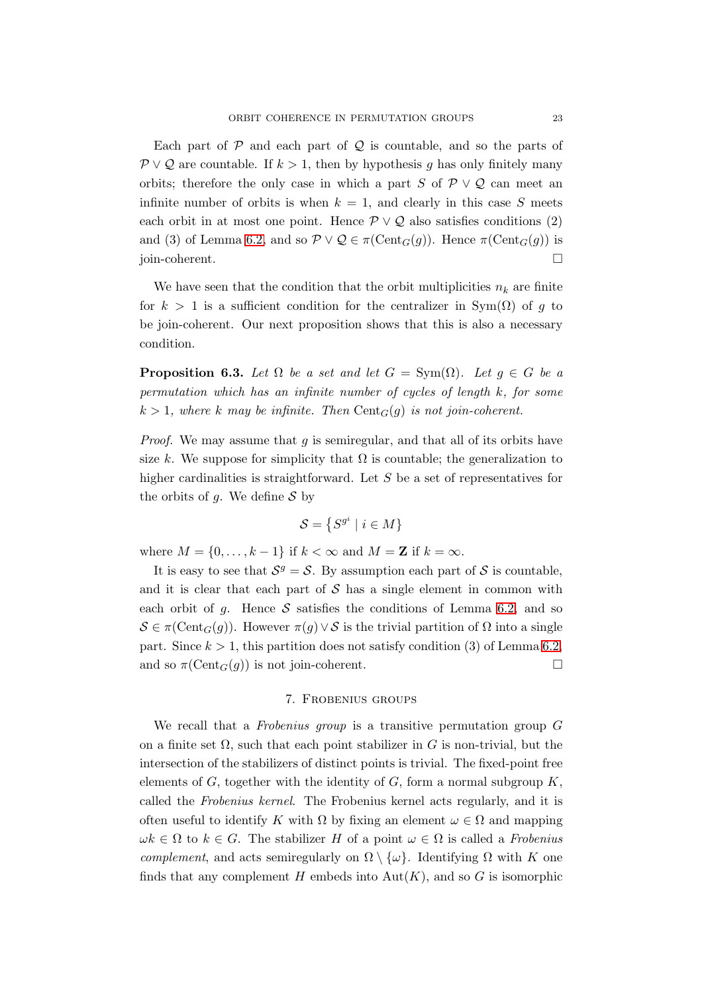Each part of  $P$  and each part of  $Q$  is countable, and so the parts of  $\mathcal{P} \vee \mathcal{Q}$  are countable. If  $k > 1$ , then by hypothesis g has only finitely many orbits; therefore the only case in which a part S of  $\mathcal{P} \vee \mathcal{Q}$  can meet an infinite number of orbits is when  $k = 1$ , and clearly in this case S meets each orbit in at most one point. Hence  $\mathcal{P} \vee \mathcal{Q}$  also satisfies conditions (2) and (3) of Lemma [6.2,](#page-20-0) and so  $\mathcal{P} \vee \mathcal{Q} \in \pi(\text{Cent}_G(q))$ . Hence  $\pi(\text{Cent}_G(q))$  is join-coherent.

We have seen that the condition that the orbit multiplicities  $n_k$  are finite for  $k > 1$  is a sufficient condition for the centralizer in Sym( $\Omega$ ) of g to be join-coherent. Our next proposition shows that this is also a necessary condition.

**Proposition 6.3.** Let  $\Omega$  be a set and let  $G = \text{Sym}(\Omega)$ . Let  $q \in G$  be a *permutation which has an infinite number of cycles of length* k*, for some*  $k > 1$ , where k may be infinite. Then  $Cent_G(g)$  is not join-coherent.

*Proof.* We may assume that g is semiregular, and that all of its orbits have size k. We suppose for simplicity that  $\Omega$  is countable; the generalization to higher cardinalities is straightforward. Let S be a set of representatives for the orbits of g. We define  $S$  by

$$
\mathcal{S} = \{ S^{g^i} \mid i \in M \}
$$

where  $M = \{0, \ldots, k-1\}$  if  $k < \infty$  and  $M = \mathbb{Z}$  if  $k = \infty$ .

It is easy to see that  $S^g = S$ . By assumption each part of S is countable, and it is clear that each part of  $\mathcal S$  has a single element in common with each orbit of g. Hence  $S$  satisfies the conditions of Lemma [6.2,](#page-20-0) and so  $S \in \pi(\text{Cent}_G(q))$ . However  $\pi(q) \vee S$  is the trivial partition of  $\Omega$  into a single part. Since  $k > 1$ , this partition does not satisfy condition (3) of Lemma [6.2,](#page-20-0) and so  $\pi(\text{Cent}_G(g))$  is not join-coherent.

# 7. Frobenius groups

<span id="page-22-0"></span>We recall that a *Frobenius group* is a transitive permutation group G on a finite set  $\Omega$ , such that each point stabilizer in G is non-trivial, but the intersection of the stabilizers of distinct points is trivial. The fixed-point free elements of  $G$ , together with the identity of  $G$ , form a normal subgroup  $K$ . called the *Frobenius kernel*. The Frobenius kernel acts regularly, and it is often useful to identify K with  $\Omega$  by fixing an element  $\omega \in \Omega$  and mapping  $\omega k \in \Omega$  to  $k \in G$ . The stabilizer H of a point  $\omega \in \Omega$  is called a *Frobenius complement*, and acts semiregularly on  $\Omega \setminus \{\omega\}$ . Identifying  $\Omega$  with K one finds that any complement H embeds into  $Aut(K)$ , and so G is isomorphic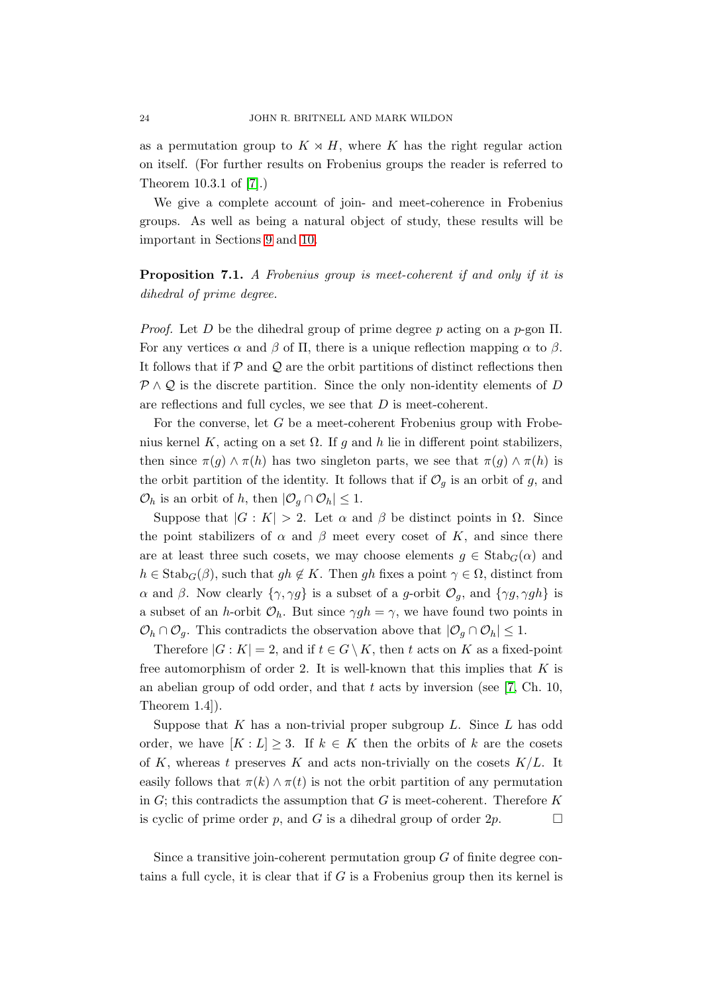as a permutation group to  $K \rtimes H$ , where K has the right regular action on itself. (For further results on Frobenius groups the reader is referred to Theorem 10.3.1 of [\[7\]](#page-34-6).)

We give a complete account of join- and meet-coherence in Frobenius groups. As well as being a natural object of study, these results will be important in Sections [9](#page-30-0) and [10.](#page-31-0)

# Proposition 7.1. *A Frobenius group is meet-coherent if and only if it is dihedral of prime degree.*

*Proof.* Let D be the dihedral group of prime degree p acting on a  $p$ -gon  $\Pi$ . For any vertices  $\alpha$  and  $\beta$  of  $\Pi$ , there is a unique reflection mapping  $\alpha$  to  $\beta$ . It follows that if  $P$  and  $Q$  are the orbit partitions of distinct reflections then  $P \wedge Q$  is the discrete partition. Since the only non-identity elements of D are reflections and full cycles, we see that D is meet-coherent.

For the converse, let  $G$  be a meet-coherent Frobenius group with Frobenius kernel K, acting on a set  $\Omega$ . If g and h lie in different point stabilizers, then since  $\pi(g) \wedge \pi(h)$  has two singleton parts, we see that  $\pi(g) \wedge \pi(h)$  is the orbit partition of the identity. It follows that if  $\mathcal{O}_g$  is an orbit of g, and  $\mathcal{O}_h$  is an orbit of h, then  $|\mathcal{O}_g \cap \mathcal{O}_h| \leq 1$ .

Suppose that  $|G: K| > 2$ . Let  $\alpha$  and  $\beta$  be distinct points in  $\Omega$ . Since the point stabilizers of  $\alpha$  and  $\beta$  meet every coset of K, and since there are at least three such cosets, we may choose elements  $g \in \text{Stab}_G(\alpha)$  and  $h \in \text{Stab}_G(\beta)$ , such that  $gh \notin K$ . Then gh fixes a point  $\gamma \in \Omega$ , distinct from α and β. Now clearly  $\{\gamma, \gamma g\}$  is a subset of a g-orbit  $\mathcal{O}_q$ , and  $\{\gamma g, \gamma gh\}$  is a subset of an h-orbit  $\mathcal{O}_h$ . But since  $\gamma gh = \gamma$ , we have found two points in  $\mathcal{O}_h \cap \mathcal{O}_g$ . This contradicts the observation above that  $|\mathcal{O}_g \cap \mathcal{O}_h| \leq 1$ .

Therefore  $|G: K| = 2$ , and if  $t \in G \setminus K$ , then t acts on K as a fixed-point free automorphism of order 2. It is well-known that this implies that  $K$  is an abelian group of odd order, and that  $t$  acts by inversion (see [\[7,](#page-34-6) Ch. 10, Theorem 1.4]).

Suppose that  $K$  has a non-trivial proper subgroup  $L$ . Since  $L$  has odd order, we have  $[K: L] \geq 3$ . If  $k \in K$  then the orbits of k are the cosets of K, whereas t preserves K and acts non-trivially on the cosets  $K/L$ . It easily follows that  $\pi(k) \wedge \pi(t)$  is not the orbit partition of any permutation in  $G$ ; this contradicts the assumption that G is meet-coherent. Therefore  $K$ is cyclic of prime order p, and G is a dihedral group of order  $2p$ .

Since a transitive join-coherent permutation group  $G$  of finite degree contains a full cycle, it is clear that if  $G$  is a Frobenius group then its kernel is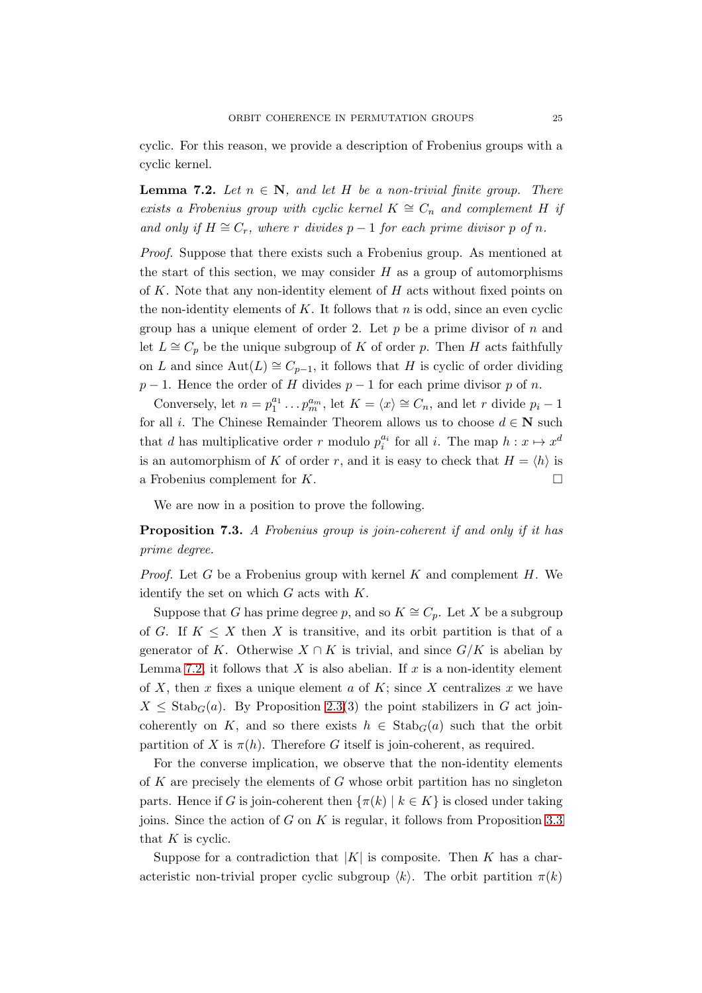cyclic. For this reason, we provide a description of Frobenius groups with a cyclic kernel.

<span id="page-24-0"></span>**Lemma 7.2.** *Let*  $n \in \mathbb{N}$ , and let H be a non-trivial finite group. There *exists a Frobenius group with cyclic kernel*  $K \cong C_n$  *and complement* H *if and only if*  $H \cong C_r$ *, where* r *divides*  $p-1$  *for each prime divisor* p *of* n.

*Proof.* Suppose that there exists such a Frobenius group. As mentioned at the start of this section, we may consider  $H$  as a group of automorphisms of K. Note that any non-identity element of  $H$  acts without fixed points on the non-identity elements of  $K$ . It follows that  $n$  is odd, since an even cyclic group has a unique element of order 2. Let  $p$  be a prime divisor of  $n$  and let  $L \cong C_p$  be the unique subgroup of K of order p. Then H acts faithfully on L and since  $\text{Aut}(L) \cong C_{p-1}$ , it follows that H is cyclic of order dividing  $p-1$ . Hence the order of H divides  $p-1$  for each prime divisor p of n.

Conversely, let  $n = p_1^{a_1} \dots p_m^{a_m}$ , let  $K = \langle x \rangle \cong C_n$ , and let r divide  $p_i - 1$ for all *i*. The Chinese Remainder Theorem allows us to choose  $d \in \mathbb{N}$  such that d has multiplicative order r modulo  $p_i^{a_i}$  for all i. The map  $h: x \mapsto x^d$ is an automorphism of K of order r, and it is easy to check that  $H = \langle h \rangle$  is a Frobenius complement for  $K$ .

We are now in a position to prove the following.

<span id="page-24-1"></span>Proposition 7.3. *A Frobenius group is join-coherent if and only if it has prime degree.*

*Proof.* Let G be a Frobenius group with kernel K and complement  $H$ . We identify the set on which  $G$  acts with  $K$ .

Suppose that G has prime degree p, and so  $K \cong C_p$ . Let X be a subgroup of G. If  $K \leq X$  then X is transitive, and its orbit partition is that of a generator of K. Otherwise  $X \cap K$  is trivial, and since  $G/K$  is abelian by Lemma [7.2,](#page-24-0) it follows that X is also abelian. If x is a non-identity element of X, then x fixes a unique element a of K; since X centralizes x we have  $X \leq$  Stab<sub>G</sub>(a). By Proposition [2.3\(](#page-7-1)3) the point stabilizers in G act joincoherently on K, and so there exists  $h \in \text{Stab}_G(a)$  such that the orbit partition of X is  $\pi(h)$ . Therefore G itself is join-coherent, as required.

For the converse implication, we observe that the non-identity elements of K are precisely the elements of  $G$  whose orbit partition has no singleton parts. Hence if G is join-coherent then  $\{\pi(k) \mid k \in K\}$  is closed under taking joins. Since the action of  $G$  on  $K$  is regular, it follows from Proposition [3.3](#page-8-0) that  $K$  is cyclic.

Suppose for a contradiction that  $|K|$  is composite. Then K has a characteristic non-trivial proper cyclic subgroup  $\langle k \rangle$ . The orbit partition  $\pi(k)$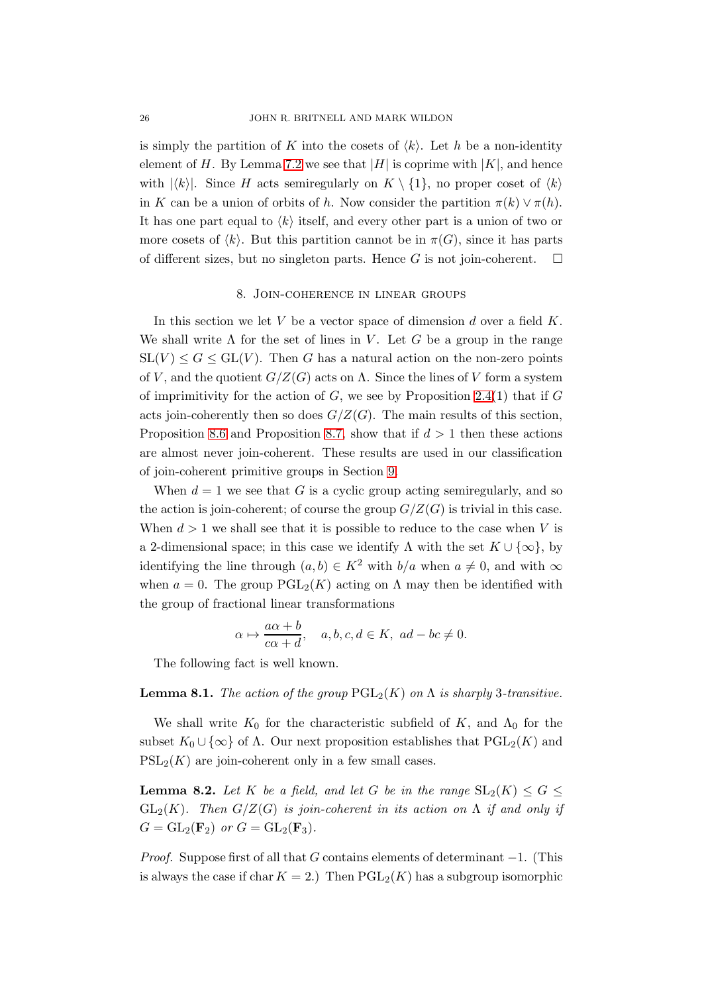is simply the partition of K into the cosets of  $\langle k \rangle$ . Let h be a non-identity element of H. By Lemma [7.2](#page-24-0) we see that |H| is coprime with  $|K|$ , and hence with  $|\langle k \rangle|$ . Since H acts semiregularly on  $K \setminus \{1\}$ , no proper coset of  $\langle k \rangle$ in K can be a union of orbits of h. Now consider the partition  $\pi(k) \vee \pi(h)$ . It has one part equal to  $\langle k \rangle$  itself, and every other part is a union of two or more cosets of  $\langle k \rangle$ . But this partition cannot be in  $\pi(G)$ , since it has parts of different sizes, but no singleton parts. Hence G is not join-coherent.  $\square$ 

### 8. Join-coherence in linear groups

<span id="page-25-0"></span>In this section we let  $V$  be a vector space of dimension  $d$  over a field  $K$ . We shall write  $\Lambda$  for the set of lines in V. Let G be a group in the range  $SL(V) \leq G \leq GL(V)$ . Then G has a natural action on the non-zero points of V, and the quotient  $G/Z(G)$  acts on  $\Lambda$ . Since the lines of V form a system of imprimitivity for the action of  $G$ , we see by Proposition [2.4\(](#page-7-0)1) that if  $G$ acts join-coherently then so does  $G/Z(G)$ . The main results of this section, Proposition [8.6](#page-29-1) and Proposition [8.7,](#page-29-0) show that if  $d > 1$  then these actions are almost never join-coherent. These results are used in our classification of join-coherent primitive groups in Section [9.](#page-30-0)

When  $d = 1$  we see that G is a cyclic group acting semiregularly, and so the action is join-coherent; of course the group  $G/Z(G)$  is trivial in this case. When  $d > 1$  we shall see that it is possible to reduce to the case when V is a 2-dimensional space; in this case we identify  $\Lambda$  with the set  $K \cup \{\infty\}$ , by identifying the line through  $(a, b) \in K^2$  with  $b/a$  when  $a \neq 0$ , and with  $\infty$ when  $a = 0$ . The group  $PGL_2(K)$  acting on  $\Lambda$  may then be identified with the group of fractional linear transformations

$$
\alpha \mapsto \frac{a\alpha + b}{c\alpha + d}, \quad a, b, c, d \in K, \ ad - bc \neq 0.
$$

The following fact is well known.

#### **Lemma 8.1.** *The action of the group*  $PGL_2(K)$  *on*  $\Lambda$  *is sharply* 3*-transitive.*

We shall write  $K_0$  for the characteristic subfield of K, and  $\Lambda_0$  for the subset  $K_0 \cup \{\infty\}$  of  $\Lambda$ . Our next proposition establishes that  $PGL_2(K)$  and  $PSL_2(K)$  are join-coherent only in a few small cases.

<span id="page-25-1"></span>**Lemma 8.2.** Let K be a field, and let G be in the range  $SL_2(K) \leq G \leq$ GL<sub>2</sub>(K). Then  $G/Z(G)$  *is join-coherent in its action on*  $\Lambda$  *if and only if*  $G = GL_2(\mathbf{F}_2)$  *or*  $G = GL_2(\mathbf{F}_3)$ *.* 

*Proof.* Suppose first of all that G contains elements of determinant  $-1$ . (This is always the case if char  $K = 2$ .) Then  $PGL_2(K)$  has a subgroup isomorphic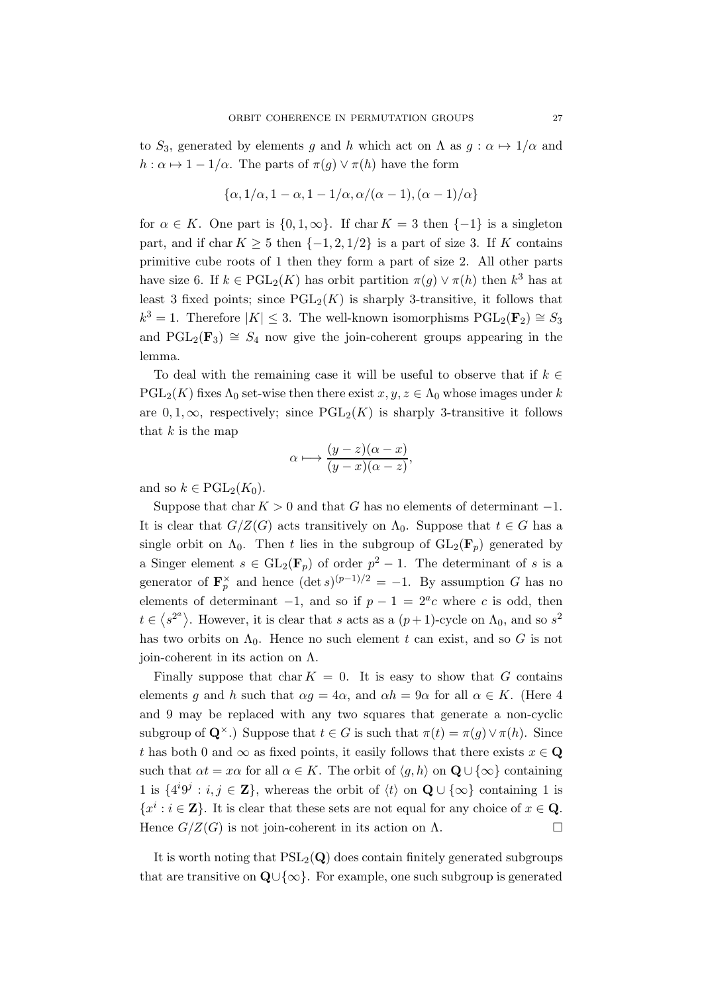to  $S_3$ , generated by elements g and h which act on  $\Lambda$  as  $g : \alpha \mapsto 1/\alpha$  and  $h : \alpha \mapsto 1 - 1/\alpha$ . The parts of  $\pi(g) \vee \pi(h)$  have the form

$$
\{\alpha, 1/\alpha, 1-\alpha, 1-1/\alpha, \alpha/(\alpha-1), (\alpha-1)/\alpha\}
$$

for  $\alpha \in K$ . One part is  $\{0, 1, \infty\}$ . If char  $K = 3$  then  $\{-1\}$  is a singleton part, and if char  $K > 5$  then  $\{-1, 2, 1/2\}$  is a part of size 3. If K contains primitive cube roots of 1 then they form a part of size 2. All other parts have size 6. If  $k \in \text{PGL}_2(K)$  has orbit partition  $\pi(g) \vee \pi(h)$  then  $k^3$  has at least 3 fixed points; since  $PGL_2(K)$  is sharply 3-transitive, it follows that  $k^3 = 1$ . Therefore  $|K| \leq 3$ . The well-known isomorphisms  $\mathrm{PGL}_2(\mathbf{F}_2) \cong S_3$ and PGL<sub>2</sub>(F<sub>3</sub>)  $\cong$  S<sub>4</sub> now give the join-coherent groups appearing in the lemma.

To deal with the remaining case it will be useful to observe that if  $k \in \mathbb{Z}$  $PGL_2(K)$  fixes  $\Lambda_0$  set-wise then there exist  $x, y, z \in \Lambda_0$  whose images under k are 0, 1, ∞, respectively; since  $PGL_2(K)$  is sharply 3-transitive it follows that  $k$  is the map

$$
\alpha \longmapsto \frac{(y-z)(\alpha-x)}{(y-x)(\alpha-z)},
$$

and so  $k \in \text{PGL}_2(K_0)$ .

Suppose that char  $K > 0$  and that G has no elements of determinant  $-1$ . It is clear that  $G/Z(G)$  acts transitively on  $\Lambda_0$ . Suppose that  $t \in G$  has a single orbit on  $\Lambda_0$ . Then t lies in the subgroup of  $GL_2(\mathbf{F}_p)$  generated by a Singer element  $s \in GL_2(\mathbf{F}_p)$  of order  $p^2 - 1$ . The determinant of s is a generator of  $\mathbf{F}_p^{\times}$  and hence  $(\det s)^{(p-1)/2} = -1$ . By assumption G has no elements of determinant  $-1$ , and so if  $p - 1 = 2<sup>a</sup>c$  where c is odd, then  $t \in \langle s^{2^a} \rangle$ . However, it is clear that s acts as a  $(p+1)$ -cycle on  $\Lambda_0$ , and so  $s^2$ has two orbits on  $\Lambda_0$ . Hence no such element t can exist, and so G is not join-coherent in its action on Λ.

Finally suppose that char  $K = 0$ . It is easy to show that G contains elements g and h such that  $\alpha q = 4\alpha$ , and  $\alpha h = 9\alpha$  for all  $\alpha \in K$ . (Here 4 and 9 may be replaced with any two squares that generate a non-cyclic subgroup of  $\mathbf{Q}^{\times}$ .) Suppose that  $t \in G$  is such that  $\pi(t) = \pi(q) \vee \pi(h)$ . Since t has both 0 and  $\infty$  as fixed points, it easily follows that there exists  $x \in \mathbf{Q}$ such that  $\alpha t = x\alpha$  for all  $\alpha \in K$ . The orbit of  $\langle q, h \rangle$  on  $\mathbf{Q} \cup \{\infty\}$  containing 1 is  $\{4^{i}9^{j}: i,j \in \mathbb{Z}\},\$  whereas the orbit of  $\langle t \rangle$  on  $\mathbf{Q} \cup \{\infty\}$  containing 1 is  ${x}^i : i \in \mathbb{Z}$ . It is clear that these sets are not equal for any choice of  $x \in \mathbb{Q}$ . Hence  $G/Z(G)$  is not join-coherent in its action on  $\Lambda$ .

It is worth noting that  $PSL_2(Q)$  does contain finitely generated subgroups that are transitive on  $\mathbf{Q} \cup \{\infty\}$ . For example, one such subgroup is generated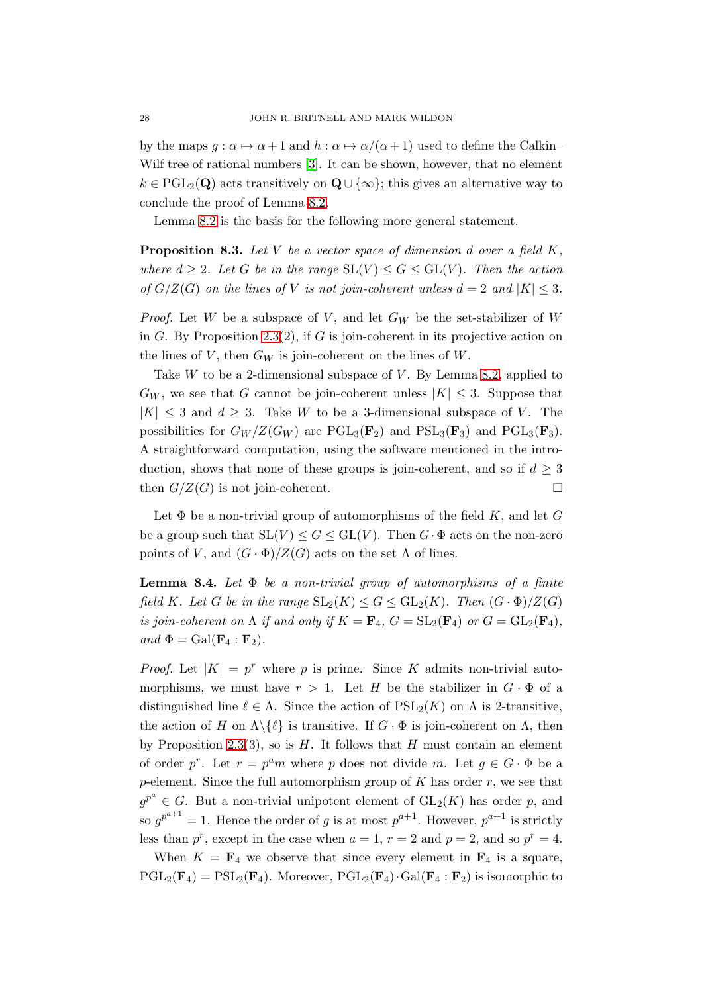by the maps  $g : \alpha \mapsto \alpha + 1$  and  $h : \alpha \mapsto \alpha/(\alpha + 1)$  used to define the Calkin– Wilf tree of rational numbers [\[3\]](#page-34-7). It can be shown, however, that no element  $k \in \text{PGL}_2(\mathbf{Q})$  acts transitively on  $\mathbf{Q} \cup \{\infty\}$ ; this gives an alternative way to conclude the proof of Lemma [8.2.](#page-25-1)

Lemma [8.2](#page-25-1) is the basis for the following more general statement.

<span id="page-27-1"></span>Proposition 8.3. *Let* V *be a vector space of dimension* d *over a field* K*, where*  $d \geq 2$ *. Let* G *be in the range*  $SL(V) \leq G \leq GL(V)$ *. Then the action of*  $G/Z(G)$  *on the lines of* V *is not join-coherent unless*  $d = 2$  *and*  $|K| \leq 3$ *.* 

*Proof.* Let W be a subspace of V, and let  $G_W$  be the set-stabilizer of W in G. By Proposition [2.3\(](#page-7-1)2), if G is join-coherent in its projective action on the lines of V, then  $G_W$  is join-coherent on the lines of W.

Take  $W$  to be a 2-dimensional subspace of  $V$ . By Lemma [8.2,](#page-25-1) applied to  $G_W$ , we see that G cannot be join-coherent unless  $|K| \leq 3$ . Suppose that  $|K| \leq 3$  and  $d \geq 3$ . Take W to be a 3-dimensional subspace of V. The possibilities for  $G_W/Z(G_W)$  are PGL<sub>3</sub>( $\mathbf{F}_2$ ) and PSL<sub>3</sub>( $\mathbf{F}_3$ ) and PGL<sub>3</sub>( $\mathbf{F}_3$ ). A straightforward computation, using the software mentioned in the introduction, shows that none of these groups is join-coherent, and so if  $d \geq 3$ then  $G/Z(G)$  is not join-coherent.

Let  $\Phi$  be a non-trivial group of automorphisms of the field K, and let G be a group such that  $SL(V) \leq G \leq GL(V)$ . Then  $G \cdot \Phi$  acts on the non-zero points of V, and  $(G \cdot \Phi)/Z(G)$  acts on the set  $\Lambda$  of lines.

<span id="page-27-0"></span>Lemma 8.4. *Let* Φ *be a non-trivial group of automorphisms of a finite field* K*. Let* G *be in the range*  $SL_2(K) \leq G \leq GL_2(K)$ *. Then*  $(G \cdot \Phi)/Z(G)$ *is join-coherent on*  $\Lambda$  *if and only if*  $K = \mathbf{F}_4$ ,  $G = SL_2(\mathbf{F}_4)$  *or*  $G = GL_2(\mathbf{F}_4)$ *,*  $and \Phi = Gal(\mathbf{F}_4 : \mathbf{F}_2).$ 

*Proof.* Let  $|K| = p^r$  where p is prime. Since K admits non-trivial automorphisms, we must have  $r > 1$ . Let H be the stabilizer in  $G \cdot \Phi$  of a distinguished line  $\ell \in \Lambda$ . Since the action of  $PSL_2(K)$  on  $\Lambda$  is 2-transitive, the action of H on  $\Lambda \backslash {\{\ell\}}$  is transitive. If  $G \cdot \Phi$  is join-coherent on  $\Lambda$ , then by Proposition [2.3\(](#page-7-1)3), so is  $H$ . It follows that  $H$  must contain an element of order p<sup>r</sup>. Let  $r = p^a m$  where p does not divide m. Let  $g \in G \cdot \Phi$  be a p-element. Since the full automorphism group of  $K$  has order  $r$ , we see that  $g^{p^a} \in G$ . But a non-trivial unipotent element of  $GL_2(K)$  has order p, and so  $g^{p^{a+1}} = 1$ . Hence the order of g is at most  $p^{a+1}$ . However,  $p^{a+1}$  is strictly less than  $p^r$ , except in the case when  $a = 1$ ,  $r = 2$  and  $p = 2$ , and so  $p^r = 4$ .

When  $K = \mathbf{F}_4$  we observe that since every element in  $\mathbf{F}_4$  is a square,  $PGL_2(\mathbf{F}_4) = PSL_2(\mathbf{F}_4)$ . Moreover,  $PGL_2(\mathbf{F}_4)$ . Gal $(\mathbf{F}_4 : \mathbf{F}_2)$  is isomorphic to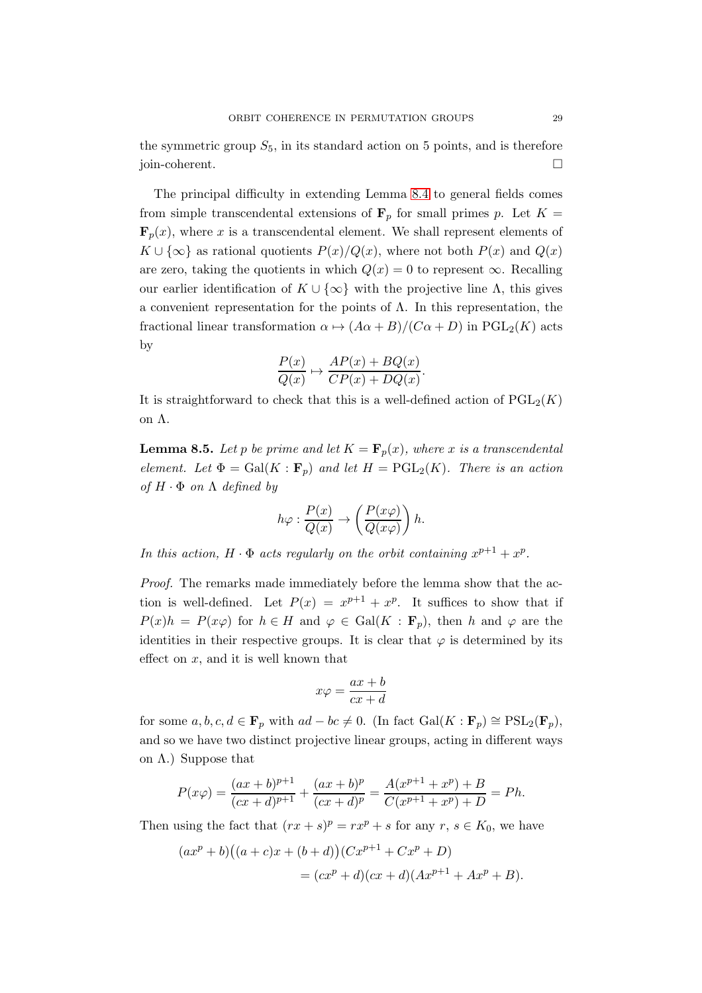the symmetric group  $S_5$ , in its standard action on 5 points, and is therefore join-coherent.

The principal difficulty in extending Lemma [8.4](#page-27-0) to general fields comes from simple transcendental extensions of  $\mathbf{F}_p$  for small primes p. Let  $K =$  $\mathbf{F}_p(x)$ , where x is a transcendental element. We shall represent elements of  $K \cup {\infty}$  as rational quotients  $P(x)/Q(x)$ , where not both  $P(x)$  and  $Q(x)$ are zero, taking the quotients in which  $Q(x) = 0$  to represent  $\infty$ . Recalling our earlier identification of  $K \cup \{\infty\}$  with the projective line  $\Lambda$ , this gives a convenient representation for the points of  $\Lambda$ . In this representation, the fractional linear transformation  $\alpha \mapsto (A\alpha + B)/(C\alpha + D)$  in PGL<sub>2</sub>(K) acts by

$$
\frac{P(x)}{Q(x)} \mapsto \frac{AP(x) + BQ(x)}{CP(x) + DQ(x)}.
$$

It is straightforward to check that this is a well-defined action of  $PGL_2(K)$ on Λ.

<span id="page-28-0"></span>**Lemma 8.5.** Let p be prime and let  $K = \mathbf{F}_p(x)$ , where x is a transcendental *element.* Let  $\Phi = \text{Gal}(K : \mathbf{F}_p)$  and let  $H = \text{PGL}_2(K)$ . There is an action  $of H \cdot \Phi$  *on*  $\Lambda$  *defined by* 

$$
h\varphi : \frac{P(x)}{Q(x)} \to \left(\frac{P(x\varphi)}{Q(x\varphi)}\right)h.
$$

*In this action,*  $H \cdot \Phi$  *acts regularly on the orbit containing*  $x^{p+1} + x^p$ .

*Proof.* The remarks made immediately before the lemma show that the action is well-defined. Let  $P(x) = x^{p+1} + x^p$ . It suffices to show that if  $P(x)h = P(x\varphi)$  for  $h \in H$  and  $\varphi \in Gal(K : \mathbf{F}_p)$ , then h and  $\varphi$  are the identities in their respective groups. It is clear that  $\varphi$  is determined by its effect on  $x$ , and it is well known that

$$
x\varphi = \frac{ax+b}{cx+d}
$$

for some  $a, b, c, d \in \mathbf{F}_p$  with  $ad - bc \neq 0$ . (In fact  $Gal(K : \mathbf{F}_p) \cong \text{PSL}_2(\mathbf{F}_p)$ , and so we have two distinct projective linear groups, acting in different ways on  $\Lambda$ .) Suppose that

$$
P(x\varphi) = \frac{(ax+b)^{p+1}}{(cx+d)^{p+1}} + \frac{(ax+b)^p}{(cx+d)^p} = \frac{A(x^{p+1}+x^p) + B}{C(x^{p+1}+x^p) + D} = Ph.
$$

Then using the fact that  $(rx + s)^p = rx^p + s$  for any  $r, s \in K_0$ , we have

$$
(axp + b)((a + c)x + (b + d))(Cxp+1 + Cxp + D)
$$
  
=  $(cxp + d)(cx + d)(Axp+1 + Axp + B).$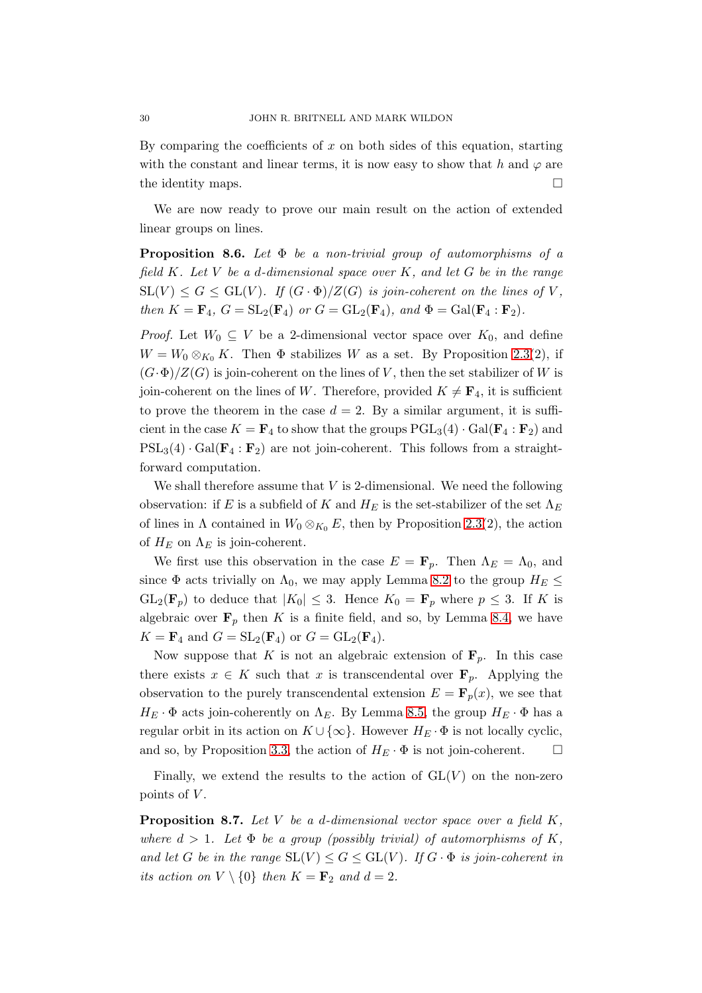By comparing the coefficients of  $x$  on both sides of this equation, starting with the constant and linear terms, it is now easy to show that h and  $\varphi$  are the identity maps.  $\Box$ 

We are now ready to prove our main result on the action of extended linear groups on lines.

<span id="page-29-1"></span>Proposition 8.6. *Let* Φ *be a non-trivial group of automorphisms of a field* K*. Let* V *be a* d*-dimensional space over* K*, and let* G *be in the range*  $SL(V) \leq G \leq GL(V)$ *. If*  $(G \cdot \Phi)/Z(G)$  *is join-coherent on the lines of* V, *then*  $K = \mathbf{F}_4$ ,  $G = SL_2(\mathbf{F}_4)$  *or*  $G = GL_2(\mathbf{F}_4)$ *, and*  $\Phi = Gal(\mathbf{F}_4 : \mathbf{F}_2)$ *.* 

*Proof.* Let  $W_0 \subseteq V$  be a 2-dimensional vector space over  $K_0$ , and define  $W = W_0 \otimes_{K_0} K$ . Then  $\Phi$  stabilizes W as a set. By Proposition [2.3\(](#page-7-1)2), if  $(G \cdot \Phi)/Z(G)$  is join-coherent on the lines of V, then the set stabilizer of W is join-coherent on the lines of W. Therefore, provided  $K \neq \mathbf{F}_4$ , it is sufficient to prove the theorem in the case  $d = 2$ . By a similar argument, it is sufficient in the case  $K = \mathbf{F}_4$  to show that the groups  $PGL_3(4) \cdot Gal(\mathbf{F}_4 : \mathbf{F}_2)$  and  $PSL_3(4) \cdot Gal(\mathbf{F}_4 : \mathbf{F}_2)$  are not join-coherent. This follows from a straightforward computation.

We shall therefore assume that  $V$  is 2-dimensional. We need the following observation: if E is a subfield of K and  $H_E$  is the set-stabilizer of the set  $\Lambda_E$ of lines in  $\Lambda$  contained in  $W_0 \otimes_{K_0} E$ , then by Proposition [2.3\(](#page-7-1)2), the action of  $H_E$  on  $\Lambda_E$  is join-coherent.

We first use this observation in the case  $E = \mathbf{F}_p$ . Then  $\Lambda_E = \Lambda_0$ , and since  $\Phi$  acts trivially on  $\Lambda_0$ , we may apply Lemma [8.2](#page-25-1) to the group  $H_E \leq$  $GL_2(\mathbf{F}_p)$  to deduce that  $|K_0| \leq 3$ . Hence  $K_0 = \mathbf{F}_p$  where  $p \leq 3$ . If K is algebraic over  $\mathbf{F}_p$  then K is a finite field, and so, by Lemma [8.4,](#page-27-0) we have  $K = \mathbf{F}_4$  and  $G = SL_2(\mathbf{F}_4)$  or  $G = GL_2(\mathbf{F}_4)$ .

Now suppose that K is not an algebraic extension of  $\mathbf{F}_p$ . In this case there exists  $x \in K$  such that x is transcendental over  $\mathbf{F}_p$ . Applying the observation to the purely transcendental extension  $E = \mathbf{F}_p(x)$ , we see that  $H_E \cdot \Phi$  acts join-coherently on  $\Lambda_E$ . By Lemma [8.5,](#page-28-0) the group  $H_E \cdot \Phi$  has a regular orbit in its action on  $K \cup \{\infty\}$ . However  $H_E \cdot \Phi$  is not locally cyclic, and so, by Proposition [3.3,](#page-8-0) the action of  $H_E \cdot \Phi$  is not join-coherent.  $\Box$ 

Finally, we extend the results to the action of  $GL(V)$  on the non-zero points of  $V$ .

<span id="page-29-0"></span>Proposition 8.7. *Let* V *be a* d*-dimensional vector space over a field* K*, where*  $d > 1$ *. Let*  $\Phi$  *be a group (possibly trivial) of automorphisms of* K, *and let* G *be in the range*  $SL(V) \leq G \leq GL(V)$ *. If*  $G \cdot \Phi$  *is join-coherent in its action on*  $V \setminus \{0\}$  *then*  $K = \mathbf{F}_2$  *and*  $d = 2$ *.*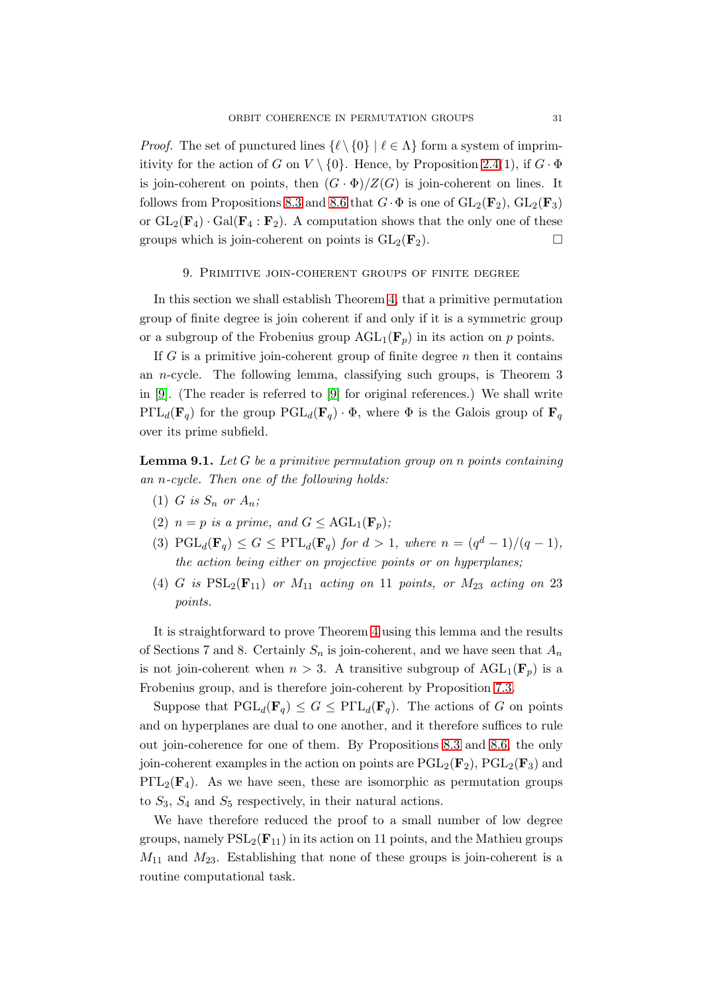*Proof.* The set of punctured lines  $\{\ell \setminus \{0\} | \ell \in \Lambda\}$  form a system of imprimitivity for the action of G on  $V \setminus \{0\}$ . Hence, by Proposition [2.4\(](#page-7-0)1), if  $G \cdot \Phi$ is join-coherent on points, then  $(G \cdot \Phi)/Z(G)$  is join-coherent on lines. It follows from Propositions [8.3](#page-27-1) and [8.6](#page-29-1) that  $G \cdot \Phi$  is one of  $GL_2(\mathbf{F}_2)$ ,  $GL_2(\mathbf{F}_3)$ or  $GL_2(\mathbf{F}_4)$  ·  $Gal(\mathbf{F}_4 : \mathbf{F}_2)$ . A computation shows that the only one of these groups which is join-coherent on points is  $GL_2(\mathbf{F}_2)$ .

#### <span id="page-30-0"></span>9. Primitive join-coherent groups of finite degree

In this section we shall establish Theorem [4,](#page-2-0) that a primitive permutation group of finite degree is join coherent if and only if it is a symmetric group or a subgroup of the Frobenius group  $AGL_1(\mathbf{F}_p)$  in its action on p points.

If G is a primitive join-coherent group of finite degree  $n$  then it contains an n-cycle. The following lemma, classifying such groups, is Theorem 3 in [\[9\]](#page-34-8). (The reader is referred to [\[9\]](#page-34-8) for original references.) We shall write  $P\Gamma L_d(\mathbf{F}_q)$  for the group  $PGL_d(\mathbf{F}_q) \cdot \Phi$ , where  $\Phi$  is the Galois group of  $\mathbf{F}_q$ over its prime subfield.

Lemma 9.1. *Let* G *be a primitive permutation group on* n *points containing an* n*-cycle. Then one of the following holds:*

- (1) *G* is  $S_n$  *or*  $A_n$ ;
- (2)  $n = p$  *is a prime, and*  $G \leq \text{AGL}_1(\mathbf{F}_p)$ ;
- (3)  $\text{PGL}_d(\mathbf{F}_q) \leq G \leq \text{P}\Gamma L_d(\mathbf{F}_q)$  *for*  $d > 1$ *, where*  $n = \frac{q^d 1}{q 1}$ , *the action being either on projective points or on hyperplanes;*
- (4) G is  $PSL_2(\mathbf{F}_{11})$  or  $M_{11}$  acting on 11 points, or  $M_{23}$  acting on 23 *points.*

It is straightforward to prove Theorem [4](#page-2-0) using this lemma and the results of Sections 7 and 8. Certainly  $S_n$  is join-coherent, and we have seen that  $A_n$ is not join-coherent when  $n > 3$ . A transitive subgroup of  $AGL_1(\mathbf{F}_p)$  is a Frobenius group, and is therefore join-coherent by Proposition [7.3.](#page-24-1)

Suppose that  $PGL_d(\mathbf{F}_q) \leq G \leq P\Gamma L_d(\mathbf{F}_q)$ . The actions of G on points and on hyperplanes are dual to one another, and it therefore suffices to rule out join-coherence for one of them. By Propositions [8.3](#page-27-1) and [8.6,](#page-29-1) the only join-coherent examples in the action on points are  $PGL_2(\mathbf{F}_2)$ ,  $PGL_2(\mathbf{F}_3)$  and  $P\Gamma L_2(\mathbf{F}_4)$ . As we have seen, these are isomorphic as permutation groups to  $S_3$ ,  $S_4$  and  $S_5$  respectively, in their natural actions.

We have therefore reduced the proof to a small number of low degree groups, namely  $PSL_2(\mathbf{F}_{11})$  in its action on 11 points, and the Mathieu groups  $M_{11}$  and  $M_{23}$ . Establishing that none of these groups is join-coherent is a routine computational task.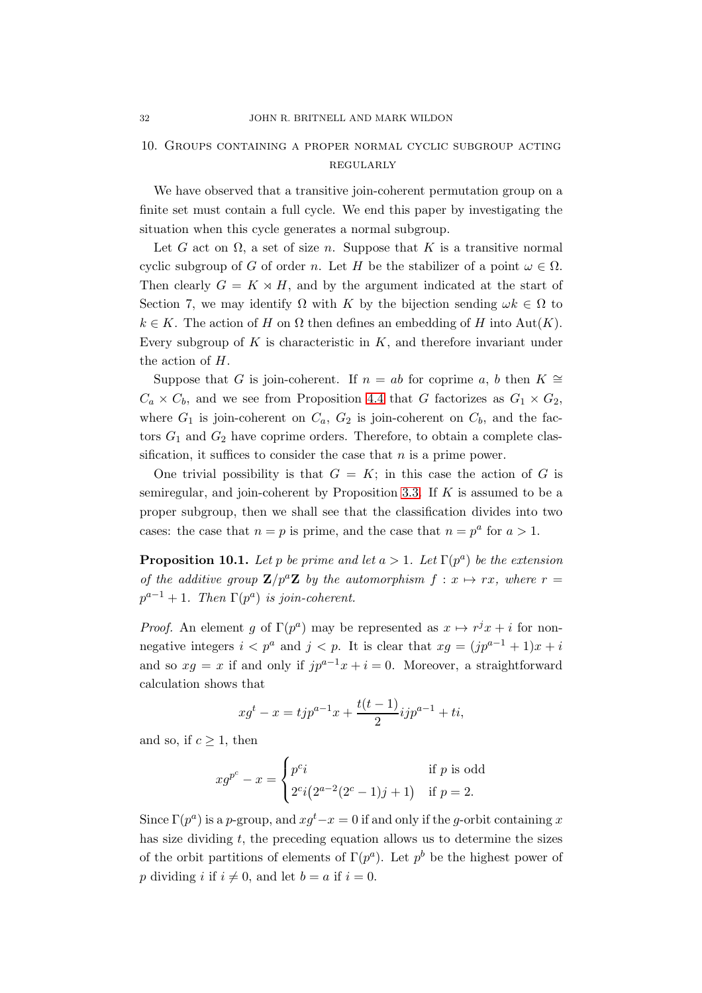# <span id="page-31-0"></span>10. Groups containing a proper normal cyclic subgroup acting regularly

We have observed that a transitive join-coherent permutation group on a finite set must contain a full cycle. We end this paper by investigating the situation when this cycle generates a normal subgroup.

Let G act on  $\Omega$ , a set of size n. Suppose that K is a transitive normal cyclic subgroup of G of order n. Let H be the stabilizer of a point  $\omega \in \Omega$ . Then clearly  $G = K \rtimes H$ , and by the argument indicated at the start of Section 7, we may identify  $\Omega$  with K by the bijection sending  $\omega k \in \Omega$  to  $k \in K$ . The action of H on  $\Omega$  then defines an embedding of H into Aut(K). Every subgroup of K is characteristic in  $K$ , and therefore invariant under the action of H.

Suppose that G is join-coherent. If  $n = ab$  for coprime a, b then  $K \cong$  $C_a \times C_b$ , and we see from Proposition [4.4](#page-14-2) that G factorizes as  $G_1 \times G_2$ , where  $G_1$  is join-coherent on  $C_a$ ,  $G_2$  is join-coherent on  $C_b$ , and the factors  $G_1$  and  $G_2$  have coprime orders. Therefore, to obtain a complete classification, it suffices to consider the case that  $n$  is a prime power.

One trivial possibility is that  $G = K$ ; in this case the action of G is semiregular, and join-coherent by Proposition [3.3.](#page-8-0) If  $K$  is assumed to be a proper subgroup, then we shall see that the classification divides into two cases: the case that  $n = p$  is prime, and the case that  $n = p^a$  for  $a > 1$ .

<span id="page-31-1"></span>**Proposition 10.1.** Let p be prime and let  $a > 1$ . Let  $\Gamma(p^a)$  be the extension *of the additive group*  $\mathbf{Z}/p^a\mathbf{Z}$  *by the automorphism*  $f: x \mapsto rx$ *, where*  $r =$  $p^{a-1} + 1$ . Then  $\Gamma(p^a)$  is join-coherent.

*Proof.* An element g of  $\Gamma(p^a)$  may be represented as  $x \mapsto r^jx + i$  for nonnegative integers  $i < p^a$  and  $j < p$ . It is clear that  $xg = (jp^{a-1} + 1)x + i$ and so  $xg = x$  if and only if  $jp^{a-1}x + i = 0$ . Moreover, a straightforward calculation shows that

$$
x g^t - x = t j p^{a-1} x + \frac{t(t-1)}{2} i j p^{a-1} + t i,
$$

and so, if  $c \geq 1$ , then

$$
x g^{p^c} - x = \begin{cases} p^c i & \text{if } p \text{ is odd} \\ 2^{c} i (2^{a-2} (2^c - 1) j + 1) & \text{if } p = 2. \end{cases}
$$

Since  $\Gamma(p^a)$  is a p-group, and  $xg^t-x=0$  if and only if the g-orbit containing x has size dividing  $t$ , the preceding equation allows us to determine the sizes of the orbit partitions of elements of  $\Gamma(p^a)$ . Let  $p^b$  be the highest power of p dividing i if  $i \neq 0$ , and let  $b = a$  if  $i = 0$ .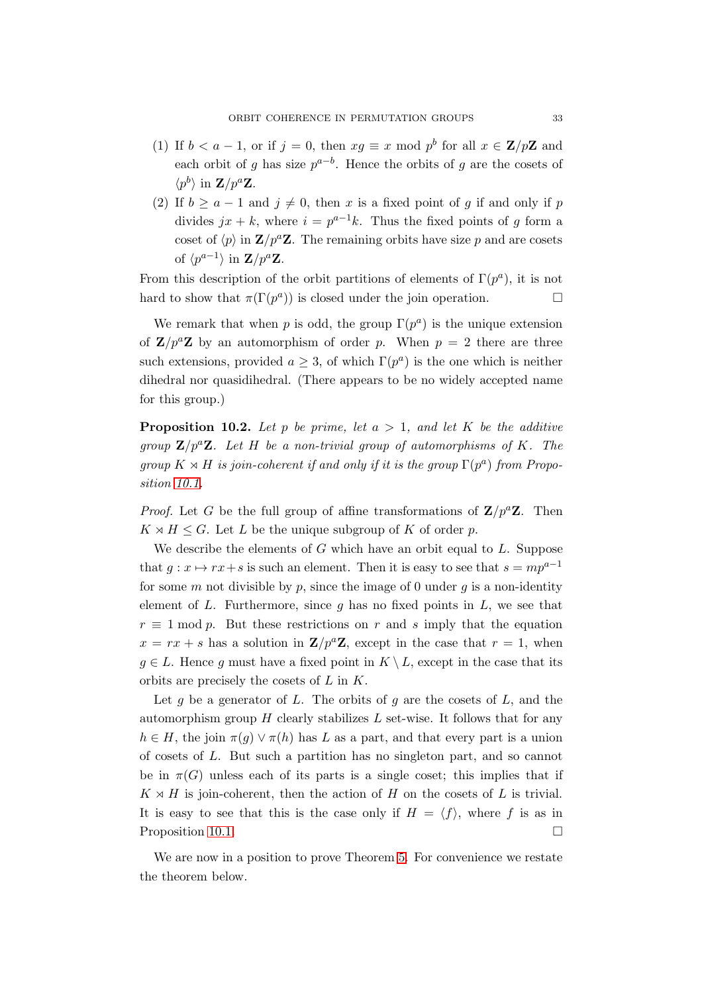- (1) If  $b < a-1$ , or if  $j = 0$ , then  $xg \equiv x \mod p^b$  for all  $x \in \mathbb{Z}/p\mathbb{Z}$  and each orbit of g has size  $p^{a-b}$ . Hence the orbits of g are the cosets of  $\langle p^b \rangle$  in  $\mathbf{Z}/p^a \mathbf{Z}$ .
- (2) If  $b \ge a 1$  and  $j \ne 0$ , then x is a fixed point of g if and only if p divides  $jx + k$ , where  $i = p^{a-1}k$ . Thus the fixed points of g form a coset of  $\langle p \rangle$  in  $\mathbf{Z}/p^a \mathbf{Z}$ . The remaining orbits have size p and are cosets of  $\langle p^{a-1} \rangle$  in  $\mathbf{Z}/p^a \mathbf{Z}$ .

From this description of the orbit partitions of elements of  $\Gamma(p^a)$ , it is not hard to show that  $\pi(\Gamma(p^a))$  is closed under the join operation.

We remark that when p is odd, the group  $\Gamma(p^a)$  is the unique extension of  $\mathbf{Z}/p^a\mathbf{Z}$  by an automorphism of order p. When  $p = 2$  there are three such extensions, provided  $a \geq 3$ , of which  $\Gamma(p^a)$  is the one which is neither dihedral nor quasidihedral. (There appears to be no widely accepted name for this group.)

<span id="page-32-0"></span>**Proposition 10.2.** Let p be prime, let  $a > 1$ , and let K be the additive *group*  $\mathbf{Z}/p^a\mathbf{Z}$ . Let H be a non-trivial group of automorphisms of K. The  $group K \times H$  *is join-coherent if and only if it is the group*  $\Gamma(p^a)$  *from Proposition [10.1.](#page-31-1)*

*Proof.* Let G be the full group of affine transformations of  $\mathbf{Z}/p^a\mathbf{Z}$ . Then  $K \rtimes H \leq G$ . Let L be the unique subgroup of K of order p.

We describe the elements of  $G$  which have an orbit equal to  $L$ . Suppose that  $g: x \mapsto rx+s$  is such an element. Then it is easy to see that  $s = mp^{a-1}$ for some m not divisible by p, since the image of 0 under  $g$  is a non-identity element of L. Furthermore, since q has no fixed points in  $L$ , we see that  $r \equiv 1 \mod p$ . But these restrictions on r and s imply that the equation  $x = rx + s$  has a solution in  $\mathbf{Z}/p^a\mathbf{Z}$ , except in the case that  $r = 1$ , when  $g \in L$ . Hence g must have a fixed point in  $K \setminus L$ , except in the case that its orbits are precisely the cosets of L in K.

Let g be a generator of L. The orbits of g are the cosets of  $L$ , and the automorphism group  $H$  clearly stabilizes  $L$  set-wise. It follows that for any  $h \in H$ , the join  $\pi(q) \vee \pi(h)$  has L as a part, and that every part is a union of cosets of L. But such a partition has no singleton part, and so cannot be in  $\pi(G)$  unless each of its parts is a single coset; this implies that if  $K \rtimes H$  is join-coherent, then the action of H on the cosets of L is trivial. It is easy to see that this is the case only if  $H = \langle f \rangle$ , where f is as in Proposition [10.1.](#page-31-1)

We are now in a position to prove Theorem [5.](#page-33-0) For convenience we restate the theorem below.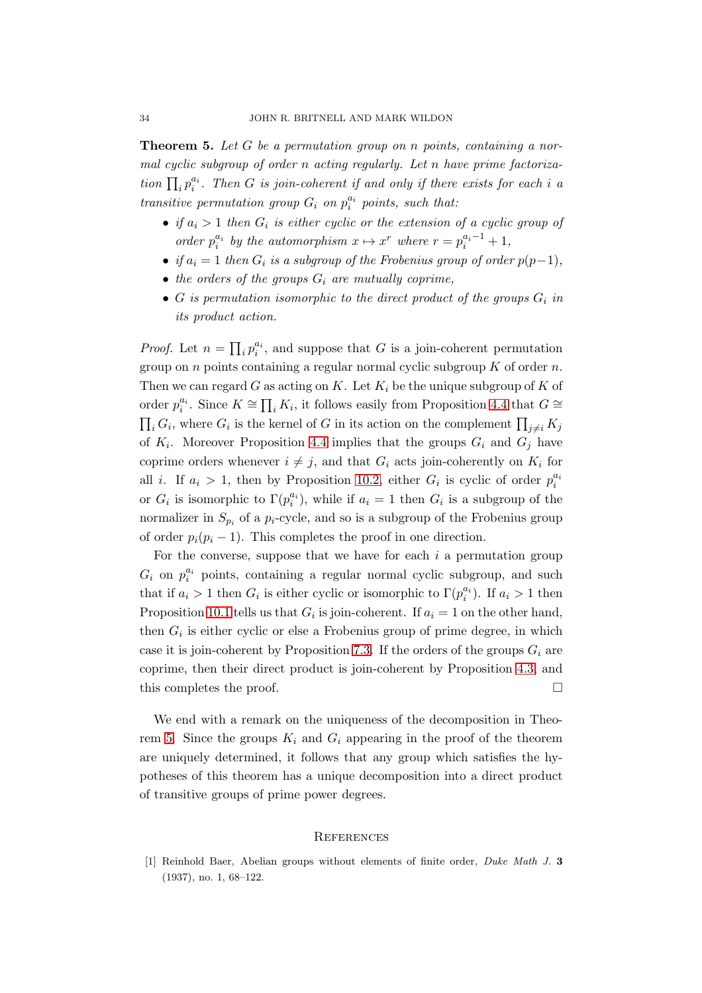<span id="page-33-0"></span>Theorem 5. *Let* G *be a permutation group on* n *points, containing a normal cyclic subgroup of order* n *acting regularly. Let* n *have prime factorization*  $\prod_i p_i^{a_i}$ . Then *G is join-coherent if and only if there exists for each i a transitive permutation group*  $G_i$  *on*  $p_i^{a_i}$  *points, such that:* 

- *if*  $a_i > 1$  then  $G_i$  is either cyclic or the extension of a cyclic group of *order*  $p_i^{a_i}$  *by the automorphism*  $x \mapsto x^r$  *where*  $r = p_i^{a_i-1} + 1$ *,*
- *if*  $a_i = 1$  *then*  $G_i$  *is a subgroup of the Frobenius group of order*  $p(p-1)$ *,*
- $\bullet$  *the orders of the groups*  $G_i$  *are mutually coprime,*
- $G$  *is permutation isomorphic to the direct product of the groups*  $G_i$  *in its product action.*

*Proof.* Let  $n = \prod_i p_i^{a_i}$ , and suppose that G is a join-coherent permutation group on *n* points containing a regular normal cyclic subgroup  $K$  of order  $n$ . Then we can regard G as acting on K. Let  $K_i$  be the unique subgroup of K of order  $p_i^{a_i}$ . Since  $K \cong \prod_i K_i$ , it follows easily from Proposition [4.4](#page-14-2) that  $G \cong$  $\prod_i G_i$ , where  $G_i$  is the kernel of G in its action on the complement  $\prod_{j\neq i} K_j$ of  $K_i$ . Moreover Proposition [4.4](#page-14-2) implies that the groups  $G_i$  and  $G_j$  have coprime orders whenever  $i \neq j$ , and that  $G_i$  acts join-coherently on  $K_i$  for all *i*. If  $a_i > 1$ , then by Proposition [10.2,](#page-32-0) either  $G_i$  is cyclic of order  $p_i^{a_i}$ or  $G_i$  is isomorphic to  $\Gamma(p_i^{a_i})$ , while if  $a_i = 1$  then  $G_i$  is a subgroup of the normalizer in  $S_{p_i}$  of a  $p_i$ -cycle, and so is a subgroup of the Frobenius group of order  $p_i(p_i - 1)$ . This completes the proof in one direction.

For the converse, suppose that we have for each  $i$  a permutation group  $G_i$  on  $p_i^{a_i}$  points, containing a regular normal cyclic subgroup, and such that if  $a_i > 1$  then  $G_i$  is either cyclic or isomorphic to  $\Gamma(p_i^{a_i})$ . If  $a_i > 1$  then Proposition [10.1](#page-31-1) tells us that  $G_i$  is join-coherent. If  $a_i = 1$  on the other hand, then  $G_i$  is either cyclic or else a Frobenius group of prime degree, in which case it is join-coherent by Proposition [7.3.](#page-24-1) If the orders of the groups  $G_i$  are coprime, then their direct product is join-coherent by Proposition [4.3,](#page-14-0) and this completes the proof.  $\Box$ 

We end with a remark on the uniqueness of the decomposition in Theo-rem [5.](#page-33-0) Since the groups  $K_i$  and  $G_i$  appearing in the proof of the theorem are uniquely determined, it follows that any group which satisfies the hypotheses of this theorem has a unique decomposition into a direct product of transitive groups of prime power degrees.

### **REFERENCES**

<span id="page-33-1"></span>[1] Reinhold Baer, Abelian groups without elements of finite order, Duke Math J. 3 (1937), no. 1, 68–122.